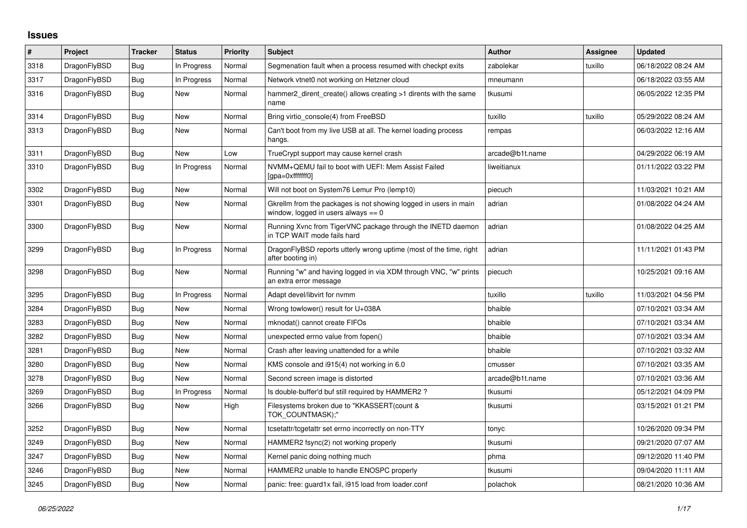## **Issues**

| $\vert$ # | Project      | <b>Tracker</b> | <b>Status</b> | <b>Priority</b> | <b>Subject</b>                                                                                          | Author          | Assignee | <b>Updated</b>      |
|-----------|--------------|----------------|---------------|-----------------|---------------------------------------------------------------------------------------------------------|-----------------|----------|---------------------|
| 3318      | DragonFlyBSD | Bug            | In Progress   | Normal          | Segmenation fault when a process resumed with checkpt exits                                             | zabolekar       | tuxillo  | 06/18/2022 08:24 AM |
| 3317      | DragonFlyBSD | <b>Bug</b>     | In Progress   | Normal          | Network vtnet0 not working on Hetzner cloud                                                             | mneumann        |          | 06/18/2022 03:55 AM |
| 3316      | DragonFlyBSD | Bug            | New           | Normal          | hammer2_dirent_create() allows creating >1 dirents with the same<br>name                                | tkusumi         |          | 06/05/2022 12:35 PM |
| 3314      | DragonFlyBSD | Bug            | New           | Normal          | Bring virtio_console(4) from FreeBSD                                                                    | tuxillo         | tuxillo  | 05/29/2022 08:24 AM |
| 3313      | DragonFlyBSD | <b>Bug</b>     | New           | Normal          | Can't boot from my live USB at all. The kernel loading process<br>hangs.                                | rempas          |          | 06/03/2022 12:16 AM |
| 3311      | DragonFlyBSD | Bug            | New           | Low             | TrueCrypt support may cause kernel crash                                                                | arcade@b1t.name |          | 04/29/2022 06:19 AM |
| 3310      | DragonFlyBSD | Bug            | In Progress   | Normal          | NVMM+QEMU fail to boot with UEFI: Mem Assist Failed<br>[gpa=0xfffffff0]                                 | liweitianux     |          | 01/11/2022 03:22 PM |
| 3302      | DragonFlyBSD | Bug            | New           | Normal          | Will not boot on System76 Lemur Pro (lemp10)                                                            | piecuch         |          | 11/03/2021 10:21 AM |
| 3301      | DragonFlyBSD | Bug            | New           | Normal          | Gkrellm from the packages is not showing logged in users in main<br>window, logged in users always == 0 | adrian          |          | 01/08/2022 04:24 AM |
| 3300      | DragonFlyBSD | <b>Bug</b>     | New           | Normal          | Running Xvnc from TigerVNC package through the INETD daemon<br>in TCP WAIT mode fails hard              | adrian          |          | 01/08/2022 04:25 AM |
| 3299      | DragonFlyBSD | <b>Bug</b>     | In Progress   | Normal          | DragonFlyBSD reports utterly wrong uptime (most of the time, right<br>after booting in)                 | adrian          |          | 11/11/2021 01:43 PM |
| 3298      | DragonFlyBSD | Bug            | <b>New</b>    | Normal          | Running "w" and having logged in via XDM through VNC, "w" prints<br>an extra error message              | piecuch         |          | 10/25/2021 09:16 AM |
| 3295      | DragonFlyBSD | Bug            | In Progress   | Normal          | Adapt devel/libvirt for nvmm                                                                            | tuxillo         | tuxillo  | 11/03/2021 04:56 PM |
| 3284      | DragonFlyBSD | Bug            | New           | Normal          | Wrong towlower() result for U+038A                                                                      | bhaible         |          | 07/10/2021 03:34 AM |
| 3283      | DragonFlyBSD | Bug            | New           | Normal          | mknodat() cannot create FIFOs                                                                           | bhaible         |          | 07/10/2021 03:34 AM |
| 3282      | DragonFlyBSD | Bug            | New           | Normal          | unexpected errno value from fopen()                                                                     | bhaible         |          | 07/10/2021 03:34 AM |
| 3281      | DragonFlyBSD | <b>Bug</b>     | New           | Normal          | Crash after leaving unattended for a while                                                              | bhaible         |          | 07/10/2021 03:32 AM |
| 3280      | DragonFlyBSD | <b>Bug</b>     | New           | Normal          | KMS console and i915(4) not working in 6.0                                                              | cmusser         |          | 07/10/2021 03:35 AM |
| 3278      | DragonFlyBSD | Bug            | New           | Normal          | Second screen image is distorted                                                                        | arcade@b1t.name |          | 07/10/2021 03:36 AM |
| 3269      | DragonFlyBSD | <b>Bug</b>     | In Progress   | Normal          | Is double-buffer'd buf still required by HAMMER2?                                                       | tkusumi         |          | 05/12/2021 04:09 PM |
| 3266      | DragonFlyBSD | <b>Bug</b>     | New           | High            | Filesystems broken due to "KKASSERT(count &<br>TOK COUNTMASK);"                                         | tkusumi         |          | 03/15/2021 01:21 PM |
| 3252      | DragonFlyBSD | <b>Bug</b>     | New           | Normal          | tcsetattr/tcgetattr set errno incorrectly on non-TTY                                                    | tonyc           |          | 10/26/2020 09:34 PM |
| 3249      | DragonFlyBSD | Bug            | New           | Normal          | HAMMER2 fsync(2) not working properly                                                                   | tkusumi         |          | 09/21/2020 07:07 AM |
| 3247      | DragonFlyBSD | Bug            | New           | Normal          | Kernel panic doing nothing much                                                                         | phma            |          | 09/12/2020 11:40 PM |
| 3246      | DragonFlyBSD | <b>Bug</b>     | New           | Normal          | HAMMER2 unable to handle ENOSPC properly                                                                | tkusumi         |          | 09/04/2020 11:11 AM |
| 3245      | DragonFlyBSD | Bug            | New           | Normal          | panic: free: guard1x fail, i915 load from loader.conf                                                   | polachok        |          | 08/21/2020 10:36 AM |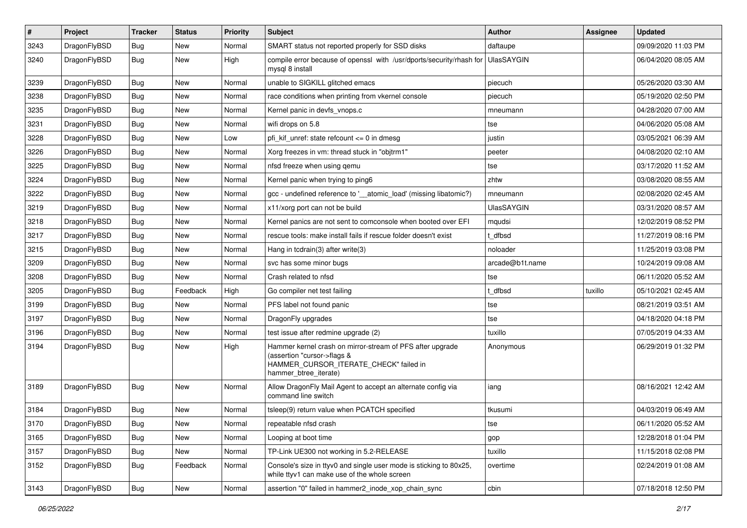| $\sharp$ | Project      | <b>Tracker</b> | <b>Status</b> | <b>Priority</b> | Subject                                                                                                                                                     | Author            | <b>Assignee</b> | <b>Updated</b>      |
|----------|--------------|----------------|---------------|-----------------|-------------------------------------------------------------------------------------------------------------------------------------------------------------|-------------------|-----------------|---------------------|
| 3243     | DragonFlyBSD | <b>Bug</b>     | New           | Normal          | SMART status not reported properly for SSD disks                                                                                                            | daftaupe          |                 | 09/09/2020 11:03 PM |
| 3240     | DragonFlyBSD | <b>Bug</b>     | <b>New</b>    | High            | compile error because of openssl with /usr/dports/security/rhash for<br>mysql 8 install                                                                     | <b>UlasSAYGIN</b> |                 | 06/04/2020 08:05 AM |
| 3239     | DragonFlyBSD | Bug            | <b>New</b>    | Normal          | unable to SIGKILL glitched emacs                                                                                                                            | piecuch           |                 | 05/26/2020 03:30 AM |
| 3238     | DragonFlyBSD | <b>Bug</b>     | New           | Normal          | race conditions when printing from vkernel console                                                                                                          | piecuch           |                 | 05/19/2020 02:50 PM |
| 3235     | DragonFlyBSD | <b>Bug</b>     | <b>New</b>    | Normal          | Kernel panic in devfs_vnops.c                                                                                                                               | mneumann          |                 | 04/28/2020 07:00 AM |
| 3231     | DragonFlyBSD | Bug            | <b>New</b>    | Normal          | wifi drops on 5.8                                                                                                                                           | tse               |                 | 04/06/2020 05:08 AM |
| 3228     | DragonFlyBSD | <b>Bug</b>     | <b>New</b>    | Low             | pfi kif unref: state refcount $\leq$ 0 in dmesq                                                                                                             | justin            |                 | 03/05/2021 06:39 AM |
| 3226     | DragonFlyBSD | <b>Bug</b>     | New           | Normal          | Xorg freezes in vm: thread stuck in "objtrm1"                                                                                                               | peeter            |                 | 04/08/2020 02:10 AM |
| 3225     | DragonFlyBSD | Bug            | <b>New</b>    | Normal          | nfsd freeze when using qemu                                                                                                                                 | tse               |                 | 03/17/2020 11:52 AM |
| 3224     | DragonFlyBSD | <b>Bug</b>     | New           | Normal          | Kernel panic when trying to ping6                                                                                                                           | zhtw              |                 | 03/08/2020 08:55 AM |
| 3222     | DragonFlyBSD | <b>Bug</b>     | <b>New</b>    | Normal          | gcc - undefined reference to '__atomic_load' (missing libatomic?)                                                                                           | mneumann          |                 | 02/08/2020 02:45 AM |
| 3219     | DragonFlyBSD | <b>Bug</b>     | <b>New</b>    | Normal          | x11/xorg port can not be build                                                                                                                              | <b>UlasSAYGIN</b> |                 | 03/31/2020 08:57 AM |
| 3218     | DragonFlyBSD | <b>Bug</b>     | New           | Normal          | Kernel panics are not sent to comconsole when booted over EFI                                                                                               | mqudsi            |                 | 12/02/2019 08:52 PM |
| 3217     | DragonFlyBSD | Bug            | New           | Normal          | rescue tools: make install fails if rescue folder doesn't exist                                                                                             | t_dfbsd           |                 | 11/27/2019 08:16 PM |
| 3215     | DragonFlyBSD | <b>Bug</b>     | New           | Normal          | Hang in tcdrain(3) after write(3)                                                                                                                           | noloader          |                 | 11/25/2019 03:08 PM |
| 3209     | DragonFlyBSD | <b>Bug</b>     | <b>New</b>    | Normal          | svc has some minor bugs                                                                                                                                     | arcade@b1t.name   |                 | 10/24/2019 09:08 AM |
| 3208     | DragonFlyBSD | <b>Bug</b>     | New           | Normal          | Crash related to nfsd                                                                                                                                       | tse               |                 | 06/11/2020 05:52 AM |
| 3205     | DragonFlyBSD | Bug            | Feedback      | High            | Go compiler net test failing                                                                                                                                | t dfbsd           | tuxillo         | 05/10/2021 02:45 AM |
| 3199     | DragonFlyBSD | <b>Bug</b>     | New           | Normal          | PFS label not found panic                                                                                                                                   | tse               |                 | 08/21/2019 03:51 AM |
| 3197     | DragonFlyBSD | <b>Bug</b>     | <b>New</b>    | Normal          | DragonFly upgrades                                                                                                                                          | tse               |                 | 04/18/2020 04:18 PM |
| 3196     | DragonFlyBSD | <b>Bug</b>     | New           | Normal          | test issue after redmine upgrade (2)                                                                                                                        | tuxillo           |                 | 07/05/2019 04:33 AM |
| 3194     | DragonFlyBSD | Bug            | New           | High            | Hammer kernel crash on mirror-stream of PFS after upgrade<br>(assertion "cursor->flags &<br>HAMMER_CURSOR_ITERATE_CHECK" failed in<br>hammer_btree_iterate) | Anonymous         |                 | 06/29/2019 01:32 PM |
| 3189     | DragonFlyBSD | Bug            | New           | Normal          | Allow DragonFly Mail Agent to accept an alternate config via<br>command line switch                                                                         | iang              |                 | 08/16/2021 12:42 AM |
| 3184     | DragonFlyBSD | <b>Bug</b>     | <b>New</b>    | Normal          | tsleep(9) return value when PCATCH specified                                                                                                                | tkusumi           |                 | 04/03/2019 06:49 AM |
| 3170     | DragonFlyBSD | <b>Bug</b>     | New           | Normal          | repeatable nfsd crash                                                                                                                                       | tse               |                 | 06/11/2020 05:52 AM |
| 3165     | DragonFlyBSD | <b>Bug</b>     | <b>New</b>    | Normal          | Looping at boot time                                                                                                                                        | gop               |                 | 12/28/2018 01:04 PM |
| 3157     | DragonFlyBSD | <b>Bug</b>     | New           | Normal          | TP-Link UE300 not working in 5.2-RELEASE                                                                                                                    | tuxillo           |                 | 11/15/2018 02:08 PM |
| 3152     | DragonFlyBSD | Bug            | Feedback      | Normal          | Console's size in ttyv0 and single user mode is sticking to 80x25,<br>while ttyv1 can make use of the whole screen                                          | overtime          |                 | 02/24/2019 01:08 AM |
| 3143     | DragonFlyBSD | Bug            | New           | Normal          | assertion "0" failed in hammer2_inode_xop_chain_sync                                                                                                        | cbin              |                 | 07/18/2018 12:50 PM |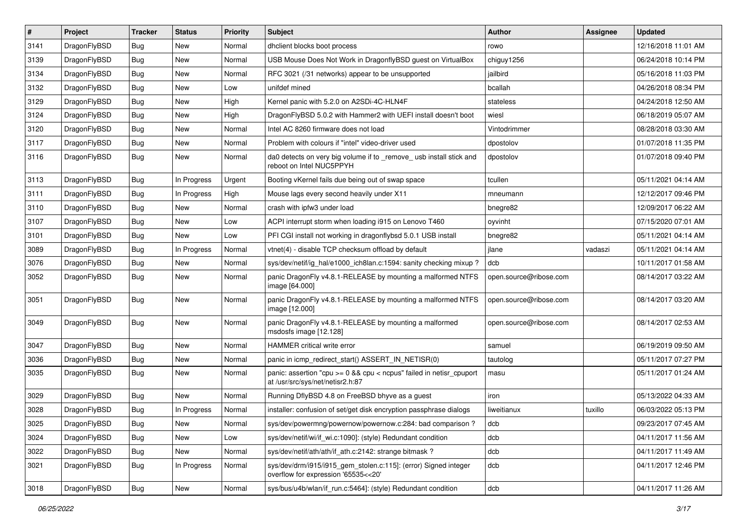| #    | Project      | <b>Tracker</b> | <b>Status</b> | <b>Priority</b> | Subject                                                                                                   | Author                 | <b>Assignee</b> | <b>Updated</b>      |
|------|--------------|----------------|---------------|-----------------|-----------------------------------------------------------------------------------------------------------|------------------------|-----------------|---------------------|
| 3141 | DragonFlyBSD | Bug            | New           | Normal          | dhclient blocks boot process                                                                              | rowo                   |                 | 12/16/2018 11:01 AM |
| 3139 | DragonFlyBSD | Bug            | <b>New</b>    | Normal          | USB Mouse Does Not Work in DragonflyBSD guest on VirtualBox                                               | chiguy1256             |                 | 06/24/2018 10:14 PM |
| 3134 | DragonFlyBSD | Bug            | <b>New</b>    | Normal          | RFC 3021 (/31 networks) appear to be unsupported                                                          | jailbird               |                 | 05/16/2018 11:03 PM |
| 3132 | DragonFlyBSD | Bug            | New           | Low             | unifdef mined                                                                                             | bcallah                |                 | 04/26/2018 08:34 PM |
| 3129 | DragonFlyBSD | Bug            | <b>New</b>    | High            | Kernel panic with 5.2.0 on A2SDi-4C-HLN4F                                                                 | stateless              |                 | 04/24/2018 12:50 AM |
| 3124 | DragonFlyBSD | Bug            | New           | High            | DragonFlyBSD 5.0.2 with Hammer2 with UEFI install doesn't boot                                            | wiesl                  |                 | 06/18/2019 05:07 AM |
| 3120 | DragonFlyBSD | Bug            | New           | Normal          | Intel AC 8260 firmware does not load                                                                      | Vintodrimmer           |                 | 08/28/2018 03:30 AM |
| 3117 | DragonFlyBSD | Bug            | New           | Normal          | Problem with colours if "intel" video-driver used                                                         | dpostolov              |                 | 01/07/2018 11:35 PM |
| 3116 | DragonFlyBSD | <b>Bug</b>     | New           | Normal          | da0 detects on very big volume if to _remove_ usb install stick and<br>reboot on Intel NUC5PPYH           | dpostolov              |                 | 01/07/2018 09:40 PM |
| 3113 | DragonFlyBSD | <b>Bug</b>     | In Progress   | Urgent          | Booting vKernel fails due being out of swap space                                                         | tcullen                |                 | 05/11/2021 04:14 AM |
| 3111 | DragonFlyBSD | <b>Bug</b>     | In Progress   | High            | Mouse lags every second heavily under X11                                                                 | mneumann               |                 | 12/12/2017 09:46 PM |
| 3110 | DragonFlyBSD | Bug            | <b>New</b>    | Normal          | crash with ipfw3 under load                                                                               | bnegre82               |                 | 12/09/2017 06:22 AM |
| 3107 | DragonFlyBSD | <b>Bug</b>     | New           | Low             | ACPI interrupt storm when loading i915 on Lenovo T460                                                     | oyvinht                |                 | 07/15/2020 07:01 AM |
| 3101 | DragonFlyBSD | <b>Bug</b>     | <b>New</b>    | Low             | PFI CGI install not working in dragonflybsd 5.0.1 USB install                                             | bnegre82               |                 | 05/11/2021 04:14 AM |
| 3089 | DragonFlyBSD | <b>Bug</b>     | In Progress   | Normal          | vtnet(4) - disable TCP checksum offload by default                                                        | jlane                  | vadaszi         | 05/11/2021 04:14 AM |
| 3076 | DragonFlyBSD | <b>Bug</b>     | <b>New</b>    | Normal          | sys/dev/netif/ig_hal/e1000_ich8lan.c:1594: sanity checking mixup?                                         | dcb                    |                 | 10/11/2017 01:58 AM |
| 3052 | DragonFlyBSD | Bug            | New           | Normal          | panic DragonFly v4.8.1-RELEASE by mounting a malformed NTFS<br>image [64.000]                             | open.source@ribose.com |                 | 08/14/2017 03:22 AM |
| 3051 | DragonFlyBSD | Bug            | New           | Normal          | panic DragonFly v4.8.1-RELEASE by mounting a malformed NTFS<br>image [12.000]                             | open.source@ribose.com |                 | 08/14/2017 03:20 AM |
| 3049 | DragonFlyBSD | Bug            | New           | Normal          | panic DragonFly v4.8.1-RELEASE by mounting a malformed<br>msdosfs image [12.128]                          | open.source@ribose.com |                 | 08/14/2017 02:53 AM |
| 3047 | DragonFlyBSD | Bug            | <b>New</b>    | Normal          | HAMMER critical write error                                                                               | samuel                 |                 | 06/19/2019 09:50 AM |
| 3036 | DragonFlyBSD | <b>Bug</b>     | <b>New</b>    | Normal          | panic in icmp_redirect_start() ASSERT_IN_NETISR(0)                                                        | tautolog               |                 | 05/11/2017 07:27 PM |
| 3035 | DragonFlyBSD | <b>Bug</b>     | New           | Normal          | panic: assertion "cpu $>= 0$ && cpu < ncpus" failed in netisr cpuport<br>at /usr/src/sys/net/netisr2.h:87 | masu                   |                 | 05/11/2017 01:24 AM |
| 3029 | DragonFlyBSD | Bug            | New           | Normal          | Running DflyBSD 4.8 on FreeBSD bhyve as a guest                                                           | iron                   |                 | 05/13/2022 04:33 AM |
| 3028 | DragonFlyBSD | Bug            | In Progress   | Normal          | installer: confusion of set/get disk encryption passphrase dialogs                                        | liweitianux            | tuxillo         | 06/03/2022 05:13 PM |
| 3025 | DragonFlyBSD | <b>Bug</b>     | <b>New</b>    | Normal          | sys/dev/powermng/powernow/powernow.c:284: bad comparison ?                                                | dcb                    |                 | 09/23/2017 07:45 AM |
| 3024 | DragonFlyBSD | <b>Bug</b>     | <b>New</b>    | Low             | sys/dev/netif/wi/if_wi.c:1090]: (style) Redundant condition                                               | dcb                    |                 | 04/11/2017 11:56 AM |
| 3022 | DragonFlyBSD | <b>Bug</b>     | New           | Normal          | sys/dev/netif/ath/ath/if ath.c:2142: strange bitmask?                                                     | dcb                    |                 | 04/11/2017 11:49 AM |
| 3021 | DragonFlyBSD | Bug            | In Progress   | Normal          | sys/dev/drm/i915/i915_gem_stolen.c:115]: (error) Signed integer<br>overflow for expression '65535<<20'    | dcb                    |                 | 04/11/2017 12:46 PM |
| 3018 | DragonFlyBSD | <b>Bug</b>     | New           | Normal          | sys/bus/u4b/wlan/if_run.c:5464]: (style) Redundant condition                                              | dcb                    |                 | 04/11/2017 11:26 AM |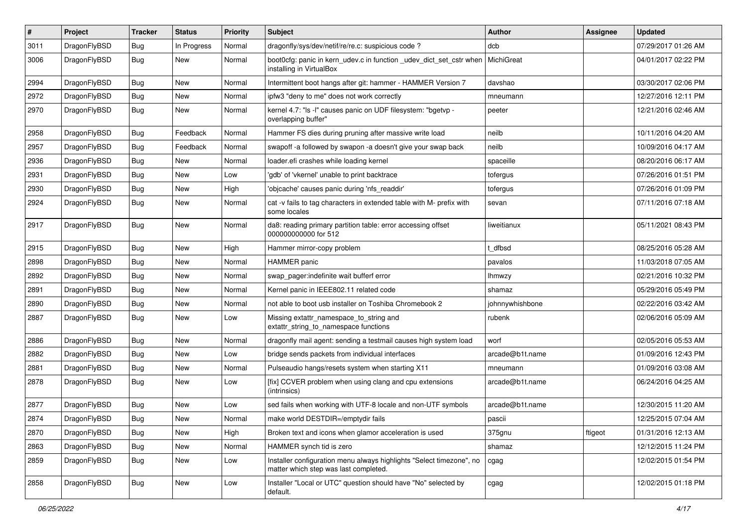| $\pmb{\#}$ | Project      | <b>Tracker</b> | <b>Status</b> | <b>Priority</b> | Subject                                                                                                       | Author          | Assignee | <b>Updated</b>      |
|------------|--------------|----------------|---------------|-----------------|---------------------------------------------------------------------------------------------------------------|-----------------|----------|---------------------|
| 3011       | DragonFlyBSD | Bug            | In Progress   | Normal          | dragonfly/sys/dev/netif/re/re.c: suspicious code ?                                                            | dcb             |          | 07/29/2017 01:26 AM |
| 3006       | DragonFlyBSD | Bug            | New           | Normal          | boot0cfg: panic in kern_udev.c in function _udev_dict_set_cstr when<br>installing in VirtualBox               | MichiGreat      |          | 04/01/2017 02:22 PM |
| 2994       | DragonFlyBSD | Bug            | <b>New</b>    | Normal          | Intermittent boot hangs after git: hammer - HAMMER Version 7                                                  | davshao         |          | 03/30/2017 02:06 PM |
| 2972       | DragonFlyBSD | <b>Bug</b>     | <b>New</b>    | Normal          | ipfw3 "deny to me" does not work correctly                                                                    | mneumann        |          | 12/27/2016 12:11 PM |
| 2970       | DragonFlyBSD | Bug            | New           | Normal          | kernel 4.7: "Is -I" causes panic on UDF filesystem: "bgetvp -<br>overlapping buffer"                          | peeter          |          | 12/21/2016 02:46 AM |
| 2958       | DragonFlyBSD | <b>Bug</b>     | Feedback      | Normal          | Hammer FS dies during pruning after massive write load                                                        | neilb           |          | 10/11/2016 04:20 AM |
| 2957       | DragonFlyBSD | Bug            | Feedback      | Normal          | swapoff -a followed by swapon -a doesn't give your swap back                                                  | neilb           |          | 10/09/2016 04:17 AM |
| 2936       | DragonFlyBSD | Bug            | <b>New</b>    | Normal          | loader.efi crashes while loading kernel                                                                       | spaceille       |          | 08/20/2016 06:17 AM |
| 2931       | DragonFlyBSD | Bug            | <b>New</b>    | Low             | 'gdb' of 'vkernel' unable to print backtrace                                                                  | tofergus        |          | 07/26/2016 01:51 PM |
| 2930       | DragonFlyBSD | Bug            | <b>New</b>    | High            | 'objcache' causes panic during 'nfs_readdir'                                                                  | tofergus        |          | 07/26/2016 01:09 PM |
| 2924       | DragonFlyBSD | Bug            | New           | Normal          | cat -v fails to tag characters in extended table with M- prefix with<br>some locales                          | sevan           |          | 07/11/2016 07:18 AM |
| 2917       | DragonFlyBSD | Bug            | New           | Normal          | da8: reading primary partition table: error accessing offset<br>000000000000 for 512                          | liweitianux     |          | 05/11/2021 08:43 PM |
| 2915       | DragonFlyBSD | Bug            | <b>New</b>    | High            | Hammer mirror-copy problem                                                                                    | dfbsd           |          | 08/25/2016 05:28 AM |
| 2898       | DragonFlyBSD | Bug            | <b>New</b>    | Normal          | <b>HAMMER</b> panic                                                                                           | pavalos         |          | 11/03/2018 07:05 AM |
| 2892       | DragonFlyBSD | Bug            | <b>New</b>    | Normal          | swap pager:indefinite wait bufferf error                                                                      | <b>Ihmwzy</b>   |          | 02/21/2016 10:32 PM |
| 2891       | DragonFlyBSD | Bug            | <b>New</b>    | Normal          | Kernel panic in IEEE802.11 related code                                                                       | shamaz          |          | 05/29/2016 05:49 PM |
| 2890       | DragonFlyBSD | <b>Bug</b>     | New           | Normal          | not able to boot usb installer on Toshiba Chromebook 2                                                        | johnnywhishbone |          | 02/22/2016 03:42 AM |
| 2887       | DragonFlyBSD | Bug            | New           | Low             | Missing extattr_namespace_to_string and<br>extattr_string_to_namespace functions                              | rubenk          |          | 02/06/2016 05:09 AM |
| 2886       | DragonFlyBSD | <b>Bug</b>     | <b>New</b>    | Normal          | dragonfly mail agent: sending a testmail causes high system load                                              | worf            |          | 02/05/2016 05:53 AM |
| 2882       | DragonFlyBSD | Bug            | <b>New</b>    | Low             | bridge sends packets from individual interfaces                                                               | arcade@b1t.name |          | 01/09/2016 12:43 PM |
| 2881       | DragonFlyBSD | Bug            | <b>New</b>    | Normal          | Pulseaudio hangs/resets system when starting X11                                                              | mneumann        |          | 01/09/2016 03:08 AM |
| 2878       | DragonFlyBSD | Bug            | New           | Low             | [fix] CCVER problem when using clang and cpu extensions<br>(intrinsics)                                       | arcade@b1t.name |          | 06/24/2016 04:25 AM |
| 2877       | DragonFlyBSD | <b>Bug</b>     | <b>New</b>    | Low             | sed fails when working with UTF-8 locale and non-UTF symbols                                                  | arcade@b1t.name |          | 12/30/2015 11:20 AM |
| 2874       | DragonFlyBSD | Bug            | New           | Normal          | make world DESTDIR=/emptydir fails                                                                            | pascii          |          | 12/25/2015 07:04 AM |
| 2870       | DragonFlyBSD | Bug            | New           | High            | Broken text and icons when glamor acceleration is used                                                        | 375gnu          | ftigeot  | 01/31/2016 12:13 AM |
| 2863       | DragonFlyBSD | <b>Bug</b>     | New           | Normal          | HAMMER synch tid is zero                                                                                      | shamaz          |          | 12/12/2015 11:24 PM |
| 2859       | DragonFlyBSD | <b>Bug</b>     | New           | Low             | Installer configuration menu always highlights "Select timezone", no<br>matter which step was last completed. | cgag            |          | 12/02/2015 01:54 PM |
| 2858       | DragonFlyBSD | <b>Bug</b>     | New           | Low             | Installer "Local or UTC" question should have "No" selected by<br>default.                                    | cgag            |          | 12/02/2015 01:18 PM |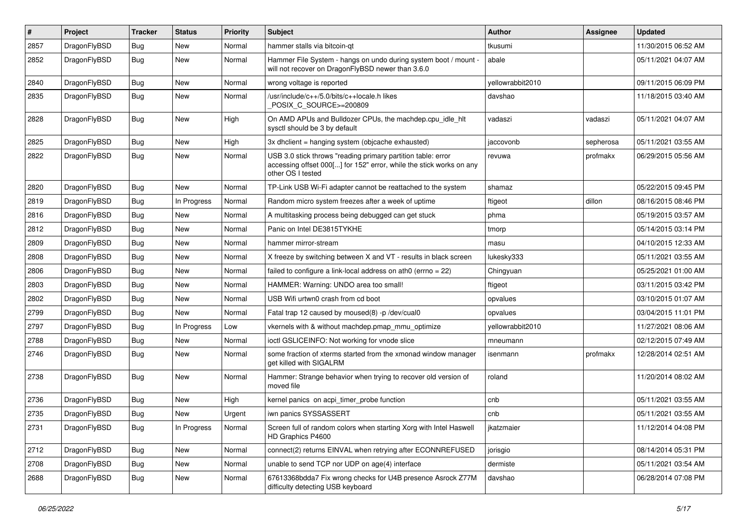| #    | Project      | <b>Tracker</b> | <b>Status</b> | <b>Priority</b> | Subject                                                                                                                                                  | Author           | <b>Assignee</b> | <b>Updated</b>      |
|------|--------------|----------------|---------------|-----------------|----------------------------------------------------------------------------------------------------------------------------------------------------------|------------------|-----------------|---------------------|
| 2857 | DragonFlyBSD | <b>Bug</b>     | <b>New</b>    | Normal          | hammer stalls via bitcoin-qt                                                                                                                             | tkusumi          |                 | 11/30/2015 06:52 AM |
| 2852 | DragonFlyBSD | <b>Bug</b>     | New           | Normal          | Hammer File System - hangs on undo during system boot / mount -<br>will not recover on DragonFlyBSD newer than 3.6.0                                     | abale            |                 | 05/11/2021 04:07 AM |
| 2840 | DragonFlyBSD | Bug            | <b>New</b>    | Normal          | wrong voltage is reported                                                                                                                                | yellowrabbit2010 |                 | 09/11/2015 06:09 PM |
| 2835 | DragonFlyBSD | Bug            | New           | Normal          | /usr/include/c++/5.0/bits/c++locale.h likes<br>POSIX C SOURCE>=200809                                                                                    | davshao          |                 | 11/18/2015 03:40 AM |
| 2828 | DragonFlyBSD | Bug            | New           | High            | On AMD APUs and Bulldozer CPUs, the machdep.cpu_idle_hlt<br>sysctl should be 3 by default                                                                | vadaszi          | vadaszi         | 05/11/2021 04:07 AM |
| 2825 | DragonFlyBSD | Bug            | <b>New</b>    | High            | 3x dhclient = hanging system (objcache exhausted)                                                                                                        | jaccovonb        | sepherosa       | 05/11/2021 03:55 AM |
| 2822 | DragonFlyBSD | Bug            | New           | Normal          | USB 3.0 stick throws "reading primary partition table: error<br>accessing offset 000[] for 152" error, while the stick works on any<br>other OS I tested | revuwa           | profmakx        | 06/29/2015 05:56 AM |
| 2820 | DragonFlyBSD | Bug            | <b>New</b>    | Normal          | TP-Link USB Wi-Fi adapter cannot be reattached to the system                                                                                             | shamaz           |                 | 05/22/2015 09:45 PM |
| 2819 | DragonFlyBSD | <b>Bug</b>     | In Progress   | Normal          | Random micro system freezes after a week of uptime                                                                                                       | ftigeot          | dillon          | 08/16/2015 08:46 PM |
| 2816 | DragonFlyBSD | <b>Bug</b>     | New           | Normal          | A multitasking process being debugged can get stuck                                                                                                      | phma             |                 | 05/19/2015 03:57 AM |
| 2812 | DragonFlyBSD | <b>Bug</b>     | New           | Normal          | Panic on Intel DE3815TYKHE                                                                                                                               | tmorp            |                 | 05/14/2015 03:14 PM |
| 2809 | DragonFlyBSD | Bug            | <b>New</b>    | Normal          | hammer mirror-stream                                                                                                                                     | masu             |                 | 04/10/2015 12:33 AM |
| 2808 | DragonFlyBSD | Bug            | New           | Normal          | X freeze by switching between X and VT - results in black screen                                                                                         | lukesky333       |                 | 05/11/2021 03:55 AM |
| 2806 | DragonFlyBSD | <b>Bug</b>     | <b>New</b>    | Normal          | failed to configure a link-local address on ath0 (errno = 22)                                                                                            | Chingyuan        |                 | 05/25/2021 01:00 AM |
| 2803 | DragonFlyBSD | <b>Bug</b>     | <b>New</b>    | Normal          | HAMMER: Warning: UNDO area too small!                                                                                                                    | ftigeot          |                 | 03/11/2015 03:42 PM |
| 2802 | DragonFlyBSD | Bug            | New           | Normal          | USB Wifi urtwn0 crash from cd boot                                                                                                                       | opvalues         |                 | 03/10/2015 01:07 AM |
| 2799 | DragonFlyBSD | <b>Bug</b>     | <b>New</b>    | Normal          | Fatal trap 12 caused by moused(8) -p/dev/cual0                                                                                                           | opvalues         |                 | 03/04/2015 11:01 PM |
| 2797 | DragonFlyBSD | Bug            | In Progress   | Low             | vkernels with & without machdep.pmap_mmu_optimize                                                                                                        | yellowrabbit2010 |                 | 11/27/2021 08:06 AM |
| 2788 | DragonFlyBSD | <b>Bug</b>     | New           | Normal          | ioctl GSLICEINFO: Not working for vnode slice                                                                                                            | mneumann         |                 | 02/12/2015 07:49 AM |
| 2746 | DragonFlyBSD | <b>Bug</b>     | New           | Normal          | some fraction of xterms started from the xmonad window manager<br>get killed with SIGALRM                                                                | isenmann         | profmakx        | 12/28/2014 02:51 AM |
| 2738 | DragonFlyBSD | Bug            | New           | Normal          | Hammer: Strange behavior when trying to recover old version of<br>moved file                                                                             | roland           |                 | 11/20/2014 08:02 AM |
| 2736 | DragonFlyBSD | Bug            | New           | High            | kernel panics on acpi_timer_probe function                                                                                                               | cnb              |                 | 05/11/2021 03:55 AM |
| 2735 | DragonFlyBSD | Bug            | <b>New</b>    | Urgent          | iwn panics SYSSASSERT                                                                                                                                    | cnb              |                 | 05/11/2021 03:55 AM |
| 2731 | DragonFlyBSD | <b>Bug</b>     | In Progress   | Normal          | Screen full of random colors when starting Xorg with Intel Haswell<br>HD Graphics P4600                                                                  | jkatzmaier       |                 | 11/12/2014 04:08 PM |
| 2712 | DragonFlyBSD | <b>Bug</b>     | <b>New</b>    | Normal          | connect(2) returns EINVAL when retrying after ECONNREFUSED                                                                                               | jorisgio         |                 | 08/14/2014 05:31 PM |
| 2708 | DragonFlyBSD | Bug            | <b>New</b>    | Normal          | unable to send TCP nor UDP on age(4) interface                                                                                                           | dermiste         |                 | 05/11/2021 03:54 AM |
| 2688 | DragonFlyBSD | <b>Bug</b>     | New           | Normal          | 67613368bdda7 Fix wrong checks for U4B presence Asrock Z77M<br>difficulty detecting USB keyboard                                                         | davshao          |                 | 06/28/2014 07:08 PM |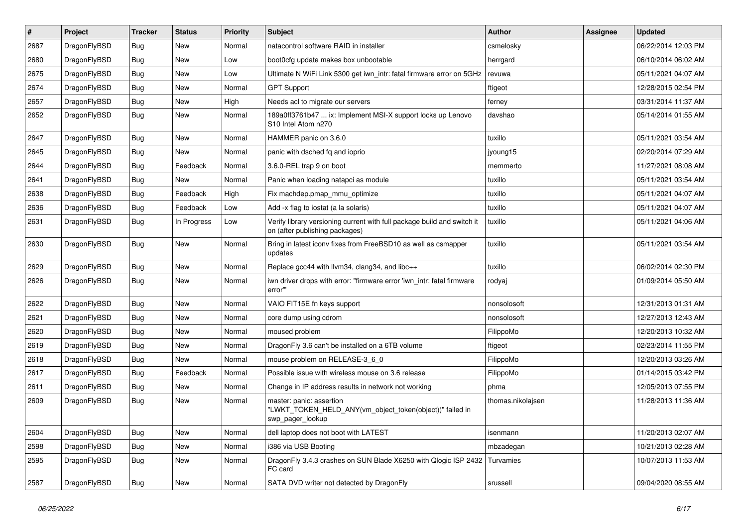| $\sharp$ | Project      | <b>Tracker</b> | <b>Status</b> | <b>Priority</b> | Subject                                                                                                   | <b>Author</b>     | Assignee | <b>Updated</b>      |
|----------|--------------|----------------|---------------|-----------------|-----------------------------------------------------------------------------------------------------------|-------------------|----------|---------------------|
| 2687     | DragonFlyBSD | Bug            | <b>New</b>    | Normal          | natacontrol software RAID in installer                                                                    | csmelosky         |          | 06/22/2014 12:03 PM |
| 2680     | DragonFlyBSD | <b>Bug</b>     | <b>New</b>    | Low             | boot0cfg update makes box unbootable                                                                      | herrgard          |          | 06/10/2014 06:02 AM |
| 2675     | DragonFlyBSD | Bug            | <b>New</b>    | Low             | Ultimate N WiFi Link 5300 get iwn_intr: fatal firmware error on 5GHz                                      | revuwa            |          | 05/11/2021 04:07 AM |
| 2674     | DragonFlyBSD | Bug            | New           | Normal          | <b>GPT Support</b>                                                                                        | ftigeot           |          | 12/28/2015 02:54 PM |
| 2657     | DragonFlyBSD | Bug            | <b>New</b>    | High            | Needs acl to migrate our servers                                                                          | ferney            |          | 03/31/2014 11:37 AM |
| 2652     | DragonFlyBSD | Bug            | <b>New</b>    | Normal          | 189a0ff3761b47  ix: Implement MSI-X support locks up Lenovo<br>S10 Intel Atom n270                        | davshao           |          | 05/14/2014 01:55 AM |
| 2647     | DragonFlyBSD | Bug            | <b>New</b>    | Normal          | HAMMER panic on 3.6.0                                                                                     | tuxillo           |          | 05/11/2021 03:54 AM |
| 2645     | DragonFlyBSD | Bug            | New           | Normal          | panic with dsched fq and ioprio                                                                           | jyoung15          |          | 02/20/2014 07:29 AM |
| 2644     | DragonFlyBSD | Bug            | Feedback      | Normal          | 3.6.0-REL trap 9 on boot                                                                                  | memmerto          |          | 11/27/2021 08:08 AM |
| 2641     | DragonFlyBSD | Bug            | New           | Normal          | Panic when loading natapci as module                                                                      | tuxillo           |          | 05/11/2021 03:54 AM |
| 2638     | DragonFlyBSD | Bug            | Feedback      | High            | Fix machdep.pmap_mmu_optimize                                                                             | tuxillo           |          | 05/11/2021 04:07 AM |
| 2636     | DragonFlyBSD | Bug            | Feedback      | Low             | Add -x flag to iostat (a la solaris)                                                                      | tuxillo           |          | 05/11/2021 04:07 AM |
| 2631     | DragonFlyBSD | Bug            | In Progress   | Low             | Verify library versioning current with full package build and switch it<br>on (after publishing packages) | tuxillo           |          | 05/11/2021 04:06 AM |
| 2630     | DragonFlyBSD | <b>Bug</b>     | <b>New</b>    | Normal          | Bring in latest iconv fixes from FreeBSD10 as well as csmapper<br>updates                                 | tuxillo           |          | 05/11/2021 03:54 AM |
| 2629     | DragonFlyBSD | Bug            | <b>New</b>    | Normal          | Replace gcc44 with llvm34, clang34, and libc++                                                            | tuxillo           |          | 06/02/2014 02:30 PM |
| 2626     | DragonFlyBSD | Bug            | New           | Normal          | iwn driver drops with error: "firmware error 'iwn_intr: fatal firmware<br>error""                         | rodyaj            |          | 01/09/2014 05:50 AM |
| 2622     | DragonFlyBSD | Bug            | <b>New</b>    | Normal          | VAIO FIT15E fn keys support                                                                               | nonsolosoft       |          | 12/31/2013 01:31 AM |
| 2621     | DragonFlyBSD | Bug            | <b>New</b>    | Normal          | core dump using cdrom                                                                                     | nonsolosoft       |          | 12/27/2013 12:43 AM |
| 2620     | DragonFlyBSD | Bug            | New           | Normal          | moused problem                                                                                            | FilippoMo         |          | 12/20/2013 10:32 AM |
| 2619     | DragonFlyBSD | Bug            | <b>New</b>    | Normal          | Dragon Fly 3.6 can't be installed on a 6TB volume                                                         | ftigeot           |          | 02/23/2014 11:55 PM |
| 2618     | DragonFlyBSD | Bug            | New           | Normal          | mouse problem on RELEASE-3_6_0                                                                            | FilippoMo         |          | 12/20/2013 03:26 AM |
| 2617     | DragonFlyBSD | Bug            | Feedback      | Normal          | Possible issue with wireless mouse on 3.6 release                                                         | FilippoMo         |          | 01/14/2015 03:42 PM |
| 2611     | DragonFlyBSD | <b>Bug</b>     | <b>New</b>    | Normal          | Change in IP address results in network not working                                                       | phma              |          | 12/05/2013 07:55 PM |
| 2609     | DragonFlyBSD | <b>Bug</b>     | New           | Normal          | master: panic: assertion<br>"LWKT_TOKEN_HELD_ANY(vm_object_token(object))" failed in<br>swp_pager_lookup  | thomas.nikolajsen |          | 11/28/2013 11:36 AM |
| 2604     | DragonFlyBSD | <b>Bug</b>     | New           | Normal          | dell laptop does not boot with LATEST                                                                     | isenmann          |          | 11/20/2013 02:07 AM |
| 2598     | DragonFlyBSD | <b>Bug</b>     | New           | Normal          | i386 via USB Booting                                                                                      | mbzadegan         |          | 10/21/2013 02:28 AM |
| 2595     | DragonFlyBSD | <b>Bug</b>     | New           | Normal          | DragonFly 3.4.3 crashes on SUN Blade X6250 with Qlogic ISP 2432<br>FC card                                | Turvamies         |          | 10/07/2013 11:53 AM |
| 2587     | DragonFlyBSD | <b>Bug</b>     | New           | Normal          | SATA DVD writer not detected by DragonFly                                                                 | srussell          |          | 09/04/2020 08:55 AM |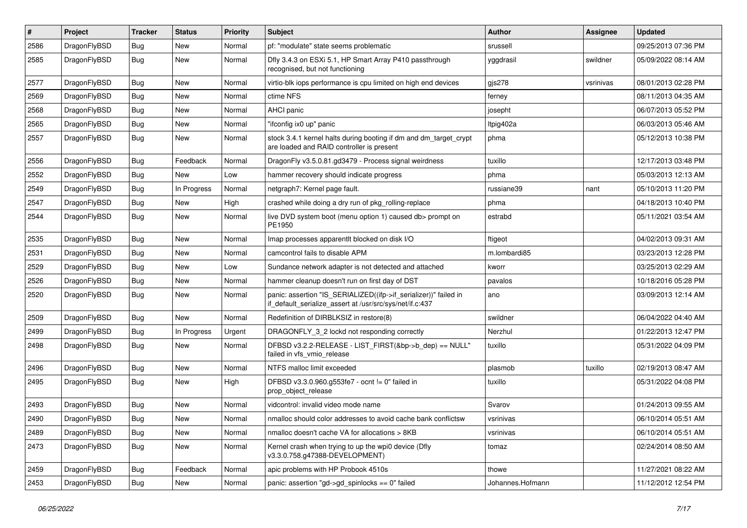| #    | Project      | <b>Tracker</b> | <b>Status</b> | <b>Priority</b> | Subject                                                                                                                      | Author           | Assignee  | <b>Updated</b>      |
|------|--------------|----------------|---------------|-----------------|------------------------------------------------------------------------------------------------------------------------------|------------------|-----------|---------------------|
| 2586 | DragonFlyBSD | <b>Bug</b>     | <b>New</b>    | Normal          | pf: "modulate" state seems problematic                                                                                       | srussell         |           | 09/25/2013 07:36 PM |
| 2585 | DragonFlyBSD | <b>Bug</b>     | <b>New</b>    | Normal          | Dfly 3.4.3 on ESXi 5.1, HP Smart Array P410 passthrough<br>recognised, but not functioning                                   | yggdrasil        | swildner  | 05/09/2022 08:14 AM |
| 2577 | DragonFlyBSD | Bug            | <b>New</b>    | Normal          | virtio-blk iops performance is cpu limited on high end devices                                                               | gis278           | vsrinivas | 08/01/2013 02:28 PM |
| 2569 | DragonFlyBSD | Bug            | New           | Normal          | ctime NFS                                                                                                                    | ferney           |           | 08/11/2013 04:35 AM |
| 2568 | DragonFlyBSD | <b>Bug</b>     | <b>New</b>    | Normal          | <b>AHCI</b> panic                                                                                                            | josepht          |           | 06/07/2013 05:52 PM |
| 2565 | DragonFlyBSD | Bug            | <b>New</b>    | Normal          | "ifconfig ix0 up" panic                                                                                                      | ltpig402a        |           | 06/03/2013 05:46 AM |
| 2557 | DragonFlyBSD | Bug            | <b>New</b>    | Normal          | stock 3.4.1 kernel halts during booting if dm and dm_target_crypt<br>are loaded and RAID controller is present               | phma             |           | 05/12/2013 10:38 PM |
| 2556 | DragonFlyBSD | Bug            | Feedback      | Normal          | DragonFly v3.5.0.81.gd3479 - Process signal weirdness                                                                        | tuxillo          |           | 12/17/2013 03:48 PM |
| 2552 | DragonFlyBSD | <b>Bug</b>     | <b>New</b>    | Low             | hammer recovery should indicate progress                                                                                     | phma             |           | 05/03/2013 12:13 AM |
| 2549 | DragonFlyBSD | <b>Bug</b>     | In Progress   | Normal          | netgraph7: Kernel page fault.                                                                                                | russiane39       | nant      | 05/10/2013 11:20 PM |
| 2547 | DragonFlyBSD | <b>Bug</b>     | New           | High            | crashed while doing a dry run of pkg_rolling-replace                                                                         | phma             |           | 04/18/2013 10:40 PM |
| 2544 | DragonFlyBSD | <b>Bug</b>     | <b>New</b>    | Normal          | live DVD system boot (menu option 1) caused db> prompt on<br>PE1950                                                          | estrabd          |           | 05/11/2021 03:54 AM |
| 2535 | DragonFlyBSD | Bug            | <b>New</b>    | Normal          | Imap processes apparentit blocked on disk I/O                                                                                | ftigeot          |           | 04/02/2013 09:31 AM |
| 2531 | DragonFlyBSD | <b>Bug</b>     | New           | Normal          | camcontrol fails to disable APM                                                                                              | m.lombardi85     |           | 03/23/2013 12:28 PM |
| 2529 | DragonFlyBSD | Bug            | <b>New</b>    | Low             | Sundance network adapter is not detected and attached                                                                        | kworr            |           | 03/25/2013 02:29 AM |
| 2526 | DragonFlyBSD | <b>Bug</b>     | New           | Normal          | hammer cleanup doesn't run on first day of DST                                                                               | pavalos          |           | 10/18/2016 05:28 PM |
| 2520 | DragonFlyBSD | <b>Bug</b>     | <b>New</b>    | Normal          | panic: assertion "IS_SERIALIZED((ifp->if_serializer))" failed in<br>if_default_serialize_assert at /usr/src/sys/net/if.c:437 | ano              |           | 03/09/2013 12:14 AM |
| 2509 | DragonFlyBSD | Bug            | <b>New</b>    | Normal          | Redefinition of DIRBLKSIZ in restore(8)                                                                                      | swildner         |           | 06/04/2022 04:40 AM |
| 2499 | DragonFlyBSD | Bug            | In Progress   | Urgent          | DRAGONFLY_3_2 lockd not responding correctly                                                                                 | Nerzhul          |           | 01/22/2013 12:47 PM |
| 2498 | DragonFlyBSD | <b>Bug</b>     | <b>New</b>    | Normal          | DFBSD v3.2.2-RELEASE - LIST_FIRST(&bp->b_dep) == NULL"<br>failed in vfs_vmio_release                                         | tuxillo          |           | 05/31/2022 04:09 PM |
| 2496 | DragonFlyBSD | <b>Bug</b>     | New           | Normal          | NTFS malloc limit exceeded                                                                                                   | plasmob          | tuxillo   | 02/19/2013 08:47 AM |
| 2495 | DragonFlyBSD | Bug            | New           | High            | DFBSD v3.3.0.960.g553fe7 - ocnt != 0" failed in<br>prop_object_release                                                       | tuxillo          |           | 05/31/2022 04:08 PM |
| 2493 | DragonFlyBSD | Bug            | New           | Normal          | vidcontrol: invalid video mode name                                                                                          | Svarov           |           | 01/24/2013 09:55 AM |
| 2490 | DragonFlyBSD | Bug            | <b>New</b>    | Normal          | nmalloc should color addresses to avoid cache bank conflictsw                                                                | vsrinivas        |           | 06/10/2014 05:51 AM |
| 2489 | DragonFlyBSD | <b>Bug</b>     | New           | Normal          | nmalloc doesn't cache VA for allocations > 8KB                                                                               | vsrinivas        |           | 06/10/2014 05:51 AM |
| 2473 | DragonFlyBSD | <b>Bug</b>     | New           | Normal          | Kernel crash when trying to up the wpi0 device (Dfly<br>v3.3.0.758.g47388-DEVELOPMENT)                                       | tomaz            |           | 02/24/2014 08:50 AM |
| 2459 | DragonFlyBSD | <b>Bug</b>     | Feedback      | Normal          | apic problems with HP Probook 4510s                                                                                          | thowe            |           | 11/27/2021 08:22 AM |
| 2453 | DragonFlyBSD | <b>Bug</b>     | New           | Normal          | panic: assertion "gd->gd_spinlocks == 0" failed                                                                              | Johannes.Hofmann |           | 11/12/2012 12:54 PM |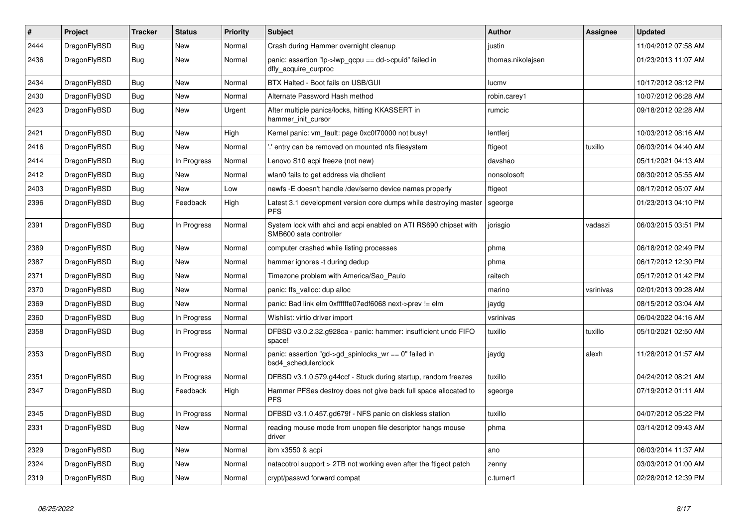| $\vert$ # | Project      | <b>Tracker</b> | <b>Status</b> | <b>Priority</b> | <b>Subject</b>                                                                             | <b>Author</b>     | Assignee  | Updated             |
|-----------|--------------|----------------|---------------|-----------------|--------------------------------------------------------------------------------------------|-------------------|-----------|---------------------|
| 2444      | DragonFlyBSD | Bug            | New           | Normal          | Crash during Hammer overnight cleanup                                                      | justin            |           | 11/04/2012 07:58 AM |
| 2436      | DragonFlyBSD | <b>Bug</b>     | New           | Normal          | panic: assertion "lp->lwp_qcpu == dd->cpuid" failed in<br>dfly_acquire_curproc             | thomas.nikolajsen |           | 01/23/2013 11:07 AM |
| 2434      | DragonFlyBSD | <b>Bug</b>     | <b>New</b>    | Normal          | BTX Halted - Boot fails on USB/GUI                                                         | lucmv             |           | 10/17/2012 08:12 PM |
| 2430      | DragonFlyBSD | Bug            | <b>New</b>    | Normal          | Alternate Password Hash method                                                             | robin.carey1      |           | 10/07/2012 06:28 AM |
| 2423      | DragonFlyBSD | Bug            | New           | Urgent          | After multiple panics/locks, hitting KKASSERT in<br>hammer init cursor                     | rumcic            |           | 09/18/2012 02:28 AM |
| 2421      | DragonFlyBSD | Bug            | <b>New</b>    | High            | Kernel panic: vm fault: page 0xc0f70000 not busy!                                          | lentferj          |           | 10/03/2012 08:16 AM |
| 2416      | DragonFlyBSD | <b>Bug</b>     | New           | Normal          | ".' entry can be removed on mounted nfs filesystem                                         | ftigeot           | tuxillo   | 06/03/2014 04:40 AM |
| 2414      | DragonFlyBSD | <b>Bug</b>     | In Progress   | Normal          | Lenovo S10 acpi freeze (not new)                                                           | davshao           |           | 05/11/2021 04:13 AM |
| 2412      | DragonFlyBSD | Bug            | <b>New</b>    | Normal          | wlan0 fails to get address via dhclient                                                    | nonsolosoft       |           | 08/30/2012 05:55 AM |
| 2403      | DragonFlyBSD | <b>Bug</b>     | <b>New</b>    | Low             | newfs - E doesn't handle / dev/serno device names properly                                 | ftigeot           |           | 08/17/2012 05:07 AM |
| 2396      | DragonFlyBSD | <b>Bug</b>     | Feedback      | High            | Latest 3.1 development version core dumps while destroying master<br><b>PFS</b>            | sgeorge           |           | 01/23/2013 04:10 PM |
| 2391      | DragonFlyBSD | <b>Bug</b>     | In Progress   | Normal          | System lock with ahci and acpi enabled on ATI RS690 chipset with<br>SMB600 sata controller | jorisgio          | vadaszi   | 06/03/2015 03:51 PM |
| 2389      | DragonFlyBSD | Bug            | <b>New</b>    | Normal          | computer crashed while listing processes                                                   | phma              |           | 06/18/2012 02:49 PM |
| 2387      | DragonFlyBSD | <b>Bug</b>     | <b>New</b>    | Normal          | hammer ignores -t during dedup                                                             | phma              |           | 06/17/2012 12:30 PM |
| 2371      | DragonFlyBSD | <b>Bug</b>     | <b>New</b>    | Normal          | Timezone problem with America/Sao_Paulo                                                    | raitech           |           | 05/17/2012 01:42 PM |
| 2370      | DragonFlyBSD | Bug            | <b>New</b>    | Normal          | panic: ffs valloc: dup alloc                                                               | marino            | vsrinivas | 02/01/2013 09:28 AM |
| 2369      | DragonFlyBSD | <b>Bug</b>     | New           | Normal          | panic: Bad link elm 0xffffffe07edf6068 next->prev != elm                                   | jaydg             |           | 08/15/2012 03:04 AM |
| 2360      | DragonFlyBSD | <b>Bug</b>     | In Progress   | Normal          | Wishlist: virtio driver import                                                             | vsrinivas         |           | 06/04/2022 04:16 AM |
| 2358      | DragonFlyBSD | <b>Bug</b>     | In Progress   | Normal          | DFBSD v3.0.2.32.g928ca - panic: hammer: insufficient undo FIFO<br>space!                   | tuxillo           | tuxillo   | 05/10/2021 02:50 AM |
| 2353      | DragonFlyBSD | Bug            | In Progress   | Normal          | panic: assertion "gd->gd spinlocks $wr == 0$ " failed in<br>bsd4 schedulerclock            | jaydg             | alexh     | 11/28/2012 01:57 AM |
| 2351      | DragonFlyBSD | <b>Bug</b>     | In Progress   | Normal          | DFBSD v3.1.0.579.g44ccf - Stuck during startup, random freezes                             | tuxillo           |           | 04/24/2012 08:21 AM |
| 2347      | DragonFlyBSD | <b>Bug</b>     | Feedback      | High            | Hammer PFSes destroy does not give back full space allocated to<br><b>PFS</b>              | sgeorge           |           | 07/19/2012 01:11 AM |
| 2345      | DragonFlyBSD | <b>Bug</b>     | In Progress   | Normal          | DFBSD v3.1.0.457.gd679f - NFS panic on diskless station                                    | tuxillo           |           | 04/07/2012 05:22 PM |
| 2331      | DragonFlyBSD | Bug            | New           | Normal          | reading mouse mode from unopen file descriptor hangs mouse<br>driver                       | phma              |           | 03/14/2012 09:43 AM |
| 2329      | DragonFlyBSD | Bug            | New           | Normal          | ibm x3550 & acpi                                                                           | ano               |           | 06/03/2014 11:37 AM |
| 2324      | DragonFlyBSD | <b>Bug</b>     | New           | Normal          | natacotrol support > 2TB not working even after the ftigeot patch                          | zenny             |           | 03/03/2012 01:00 AM |
| 2319      | DragonFlyBSD | <b>Bug</b>     | <b>New</b>    | Normal          | crypt/passwd forward compat                                                                | c.turner1         |           | 02/28/2012 12:39 PM |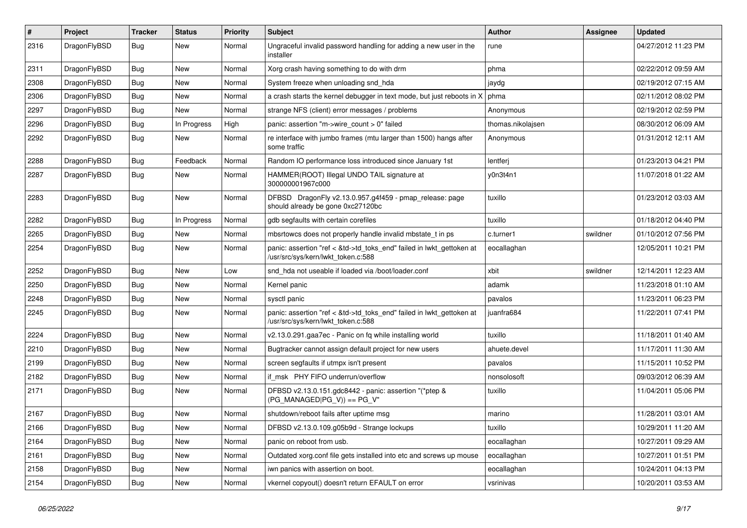| #    | Project      | <b>Tracker</b> | <b>Status</b> | <b>Priority</b> | <b>Subject</b>                                                                                             | Author            | <b>Assignee</b> | <b>Updated</b>      |
|------|--------------|----------------|---------------|-----------------|------------------------------------------------------------------------------------------------------------|-------------------|-----------------|---------------------|
| 2316 | DragonFlyBSD | <b>Bug</b>     | New           | Normal          | Ungraceful invalid password handling for adding a new user in the<br>installer                             | rune              |                 | 04/27/2012 11:23 PM |
| 2311 | DragonFlyBSD | <b>Bug</b>     | <b>New</b>    | Normal          | Xorg crash having something to do with drm                                                                 | phma              |                 | 02/22/2012 09:59 AM |
| 2308 | DragonFlyBSD | Bug            | New           | Normal          | System freeze when unloading snd hda                                                                       | jaydg             |                 | 02/19/2012 07:15 AM |
| 2306 | DragonFlyBSD | <b>Bug</b>     | New           | Normal          | a crash starts the kernel debugger in text mode, but just reboots in X                                     | phma              |                 | 02/11/2012 08:02 PM |
| 2297 | DragonFlyBSD | <b>Bug</b>     | New           | Normal          | strange NFS (client) error messages / problems                                                             | Anonymous         |                 | 02/19/2012 02:59 PM |
| 2296 | DragonFlyBSD | Bug            | In Progress   | High            | panic: assertion "m->wire count > 0" failed                                                                | thomas.nikolajsen |                 | 08/30/2012 06:09 AM |
| 2292 | DragonFlyBSD | Bug            | New           | Normal          | re interface with jumbo frames (mtu larger than 1500) hangs after<br>some traffic                          | Anonymous         |                 | 01/31/2012 12:11 AM |
| 2288 | DragonFlyBSD | <b>Bug</b>     | Feedback      | Normal          | Random IO performance loss introduced since January 1st                                                    | lentferj          |                 | 01/23/2013 04:21 PM |
| 2287 | DragonFlyBSD | <b>Bug</b>     | New           | Normal          | HAMMER(ROOT) Illegal UNDO TAIL signature at<br>300000001967c000                                            | y0n3t4n1          |                 | 11/07/2018 01:22 AM |
| 2283 | DragonFlyBSD | <b>Bug</b>     | <b>New</b>    | Normal          | DFBSD DragonFly v2.13.0.957.g4f459 - pmap_release: page<br>should already be gone 0xc27120bc               | tuxillo           |                 | 01/23/2012 03:03 AM |
| 2282 | DragonFlyBSD | Bug            | In Progress   | Normal          | gdb segfaults with certain corefiles                                                                       | tuxillo           |                 | 01/18/2012 04:40 PM |
| 2265 | DragonFlyBSD | Bug            | New           | Normal          | mbsrtowcs does not properly handle invalid mbstate t in ps                                                 | c.turner1         | swildner        | 01/10/2012 07:56 PM |
| 2254 | DragonFlyBSD | Bug            | New           | Normal          | panic: assertion "ref < &td->td_toks_end" failed in lwkt_gettoken at<br>/usr/src/sys/kern/lwkt_token.c:588 | eocallaghan       |                 | 12/05/2011 10:21 PM |
| 2252 | DragonFlyBSD | <b>Bug</b>     | <b>New</b>    | Low             | snd hda not useable if loaded via /boot/loader.conf                                                        | xbit              | swildner        | 12/14/2011 12:23 AM |
| 2250 | DragonFlyBSD | Bug            | New           | Normal          | Kernel panic                                                                                               | adamk             |                 | 11/23/2018 01:10 AM |
| 2248 | DragonFlyBSD | Bug            | New           | Normal          | sysctl panic                                                                                               | pavalos           |                 | 11/23/2011 06:23 PM |
| 2245 | DragonFlyBSD | Bug            | New           | Normal          | panic: assertion "ref < &td->td_toks_end" failed in lwkt_gettoken at<br>/usr/src/sys/kern/lwkt_token.c:588 | juanfra684        |                 | 11/22/2011 07:41 PM |
| 2224 | DragonFlyBSD | <b>Bug</b>     | <b>New</b>    | Normal          | v2.13.0.291.gaa7ec - Panic on fq while installing world                                                    | tuxillo           |                 | 11/18/2011 01:40 AM |
| 2210 | DragonFlyBSD | <b>Bug</b>     | New           | Normal          | Bugtracker cannot assign default project for new users                                                     | ahuete.devel      |                 | 11/17/2011 11:30 AM |
| 2199 | DragonFlyBSD | <b>Bug</b>     | New           | Normal          | screen segfaults if utmpx isn't present                                                                    | pavalos           |                 | 11/15/2011 10:52 PM |
| 2182 | DragonFlyBSD | <b>Bug</b>     | New           | Normal          | if msk PHY FIFO underrun/overflow                                                                          | nonsolosoft       |                 | 09/03/2012 06:39 AM |
| 2171 | DragonFlyBSD | Bug            | New           | Normal          | DFBSD v2.13.0.151.gdc8442 - panic: assertion "(*ptep &<br>$(PG$ MANAGED $ PG_V\rangle$ ) == PG_V"          | tuxillo           |                 | 11/04/2011 05:06 PM |
| 2167 | DragonFlyBSD | Bug            | New           | Normal          | shutdown/reboot fails after uptime msg                                                                     | marino            |                 | 11/28/2011 03:01 AM |
| 2166 | DragonFlyBSD | Bug            | New           | Normal          | DFBSD v2.13.0.109.g05b9d - Strange lockups                                                                 | tuxillo           |                 | 10/29/2011 11:20 AM |
| 2164 | DragonFlyBSD | <b>Bug</b>     | New           | Normal          | panic on reboot from usb.                                                                                  | eocallaghan       |                 | 10/27/2011 09:29 AM |
| 2161 | DragonFlyBSD | <b>Bug</b>     | New           | Normal          | Outdated xorg.conf file gets installed into etc and screws up mouse                                        | eocallaghan       |                 | 10/27/2011 01:51 PM |
| 2158 | DragonFlyBSD | <b>Bug</b>     | New           | Normal          | iwn panics with assertion on boot.                                                                         | eocallaghan       |                 | 10/24/2011 04:13 PM |
| 2154 | DragonFlyBSD | <b>Bug</b>     | New           | Normal          | vkernel copyout() doesn't return EFAULT on error                                                           | vsrinivas         |                 | 10/20/2011 03:53 AM |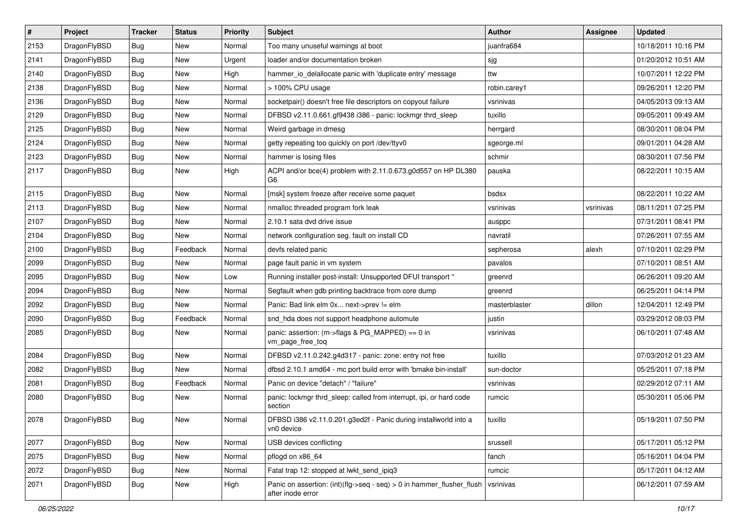| $\pmb{\#}$ | Project      | <b>Tracker</b> | <b>Status</b> | <b>Priority</b> | Subject                                                                                    | <b>Author</b> | <b>Assignee</b> | <b>Updated</b>      |
|------------|--------------|----------------|---------------|-----------------|--------------------------------------------------------------------------------------------|---------------|-----------------|---------------------|
| 2153       | DragonFlyBSD | <b>Bug</b>     | New           | Normal          | Too many unuseful warnings at boot                                                         | juanfra684    |                 | 10/18/2011 10:16 PM |
| 2141       | DragonFlyBSD | Bug            | <b>New</b>    | Urgent          | loader and/or documentation broken                                                         | sjg           |                 | 01/20/2012 10:51 AM |
| 2140       | DragonFlyBSD | Bug            | <b>New</b>    | High            | hammer_io_delallocate panic with 'duplicate entry' message                                 | ttw           |                 | 10/07/2011 12:22 PM |
| 2138       | DragonFlyBSD | Bug            | New           | Normal          | > 100% CPU usage                                                                           | robin.carey1  |                 | 09/26/2011 12:20 PM |
| 2136       | DragonFlyBSD | Bug            | <b>New</b>    | Normal          | socketpair() doesn't free file descriptors on copyout failure                              | vsrinivas     |                 | 04/05/2013 09:13 AM |
| 2129       | DragonFlyBSD | Bug            | New           | Normal          | DFBSD v2.11.0.661.gf9438 i386 - panic: lockmgr thrd_sleep                                  | tuxillo       |                 | 09/05/2011 09:49 AM |
| 2125       | DragonFlyBSD | Bug            | New           | Normal          | Weird garbage in dmesg                                                                     | herrgard      |                 | 08/30/2011 08:04 PM |
| 2124       | DragonFlyBSD | Bug            | <b>New</b>    | Normal          | getty repeating too quickly on port /dev/ttyv0                                             | sgeorge.ml    |                 | 09/01/2011 04:28 AM |
| 2123       | DragonFlyBSD | Bug            | <b>New</b>    | Normal          | hammer is losing files                                                                     | schmir        |                 | 08/30/2011 07:56 PM |
| 2117       | DragonFlyBSD | Bug            | <b>New</b>    | High            | ACPI and/or bce(4) problem with 2.11.0.673.g0d557 on HP DL380<br>G6                        | pauska        |                 | 08/22/2011 10:15 AM |
| 2115       | DragonFlyBSD | Bug            | <b>New</b>    | Normal          | [msk] system freeze after receive some paquet                                              | bsdsx         |                 | 08/22/2011 10:22 AM |
| 2113       | DragonFlyBSD | Bug            | <b>New</b>    | Normal          | nmalloc threaded program fork leak                                                         | vsrinivas     | vsrinivas       | 08/11/2011 07:25 PM |
| 2107       | DragonFlyBSD | Bug            | <b>New</b>    | Normal          | 2.10.1 sata dvd drive issue                                                                | ausppc        |                 | 07/31/2011 08:41 PM |
| 2104       | DragonFlyBSD | Bug            | New           | Normal          | network configuration seg. fault on install CD                                             | navratil      |                 | 07/26/2011 07:55 AM |
| 2100       | DragonFlyBSD | Bug            | Feedback      | Normal          | devfs related panic                                                                        | sepherosa     | alexh           | 07/10/2011 02:29 PM |
| 2099       | DragonFlyBSD | Bug            | <b>New</b>    | Normal          | page fault panic in vm system                                                              | pavalos       |                 | 07/10/2011 08:51 AM |
| 2095       | DragonFlyBSD | Bug            | <b>New</b>    | Low             | Running installer post-install: Unsupported DFUI transport "                               | greenrd       |                 | 06/26/2011 09:20 AM |
| 2094       | DragonFlyBSD | Bug            | New           | Normal          | Segfault when gdb printing backtrace from core dump                                        | greenrd       |                 | 06/25/2011 04:14 PM |
| 2092       | DragonFlyBSD | Bug            | New           | Normal          | Panic: Bad link elm 0x next->prev != elm                                                   | masterblaster | dillon          | 12/04/2011 12:49 PM |
| 2090       | DragonFlyBSD | Bug            | Feedback      | Normal          | snd_hda does not support headphone automute                                                | justin        |                 | 03/29/2012 08:03 PM |
| 2085       | DragonFlyBSD | Bug            | <b>New</b>    | Normal          | panic: assertion: (m->flags & PG_MAPPED) == 0 in<br>vm_page_free_toq                       | vsrinivas     |                 | 06/10/2011 07:48 AM |
| 2084       | DragonFlyBSD | <b>Bug</b>     | New           | Normal          | DFBSD v2.11.0.242.g4d317 - panic: zone: entry not free                                     | tuxillo       |                 | 07/03/2012 01:23 AM |
| 2082       | DragonFlyBSD | Bug            | New           | Normal          | dfbsd 2.10.1 amd64 - mc port build error with 'bmake bin-install'                          | sun-doctor    |                 | 05/25/2011 07:18 PM |
| 2081       | DragonFlyBSD | Bug            | Feedback      | Normal          | Panic on device "detach" / "failure"                                                       | vsrinivas     |                 | 02/29/2012 07:11 AM |
| 2080       | DragonFlyBSD | Bug            | New           | Normal          | panic: lockmgr thrd_sleep: called from interrupt, ipi, or hard code<br>section             | rumcic        |                 | 05/30/2011 05:06 PM |
| 2078       | DragonFlyBSD | <b>Bug</b>     | New           | Normal          | DFBSD i386 v2.11.0.201.g3ed2f - Panic during installworld into a<br>vn0 device             | tuxillo       |                 | 05/19/2011 07:50 PM |
| 2077       | DragonFlyBSD | Bug            | New           | Normal          | USB devices conflicting                                                                    | srussell      |                 | 05/17/2011 05:12 PM |
| 2075       | DragonFlyBSD | <b>Bug</b>     | New           | Normal          | pflogd on x86_64                                                                           | fanch         |                 | 05/16/2011 04:04 PM |
| 2072       | DragonFlyBSD | Bug            | New           | Normal          | Fatal trap 12: stopped at lwkt_send_ipiq3                                                  | rumcic        |                 | 05/17/2011 04:12 AM |
| 2071       | DragonFlyBSD | Bug            | New           | High            | Panic on assertion: (int)(flg->seq - seq) > 0 in hammer_flusher_flush<br>after inode error | vsrinivas     |                 | 06/12/2011 07:59 AM |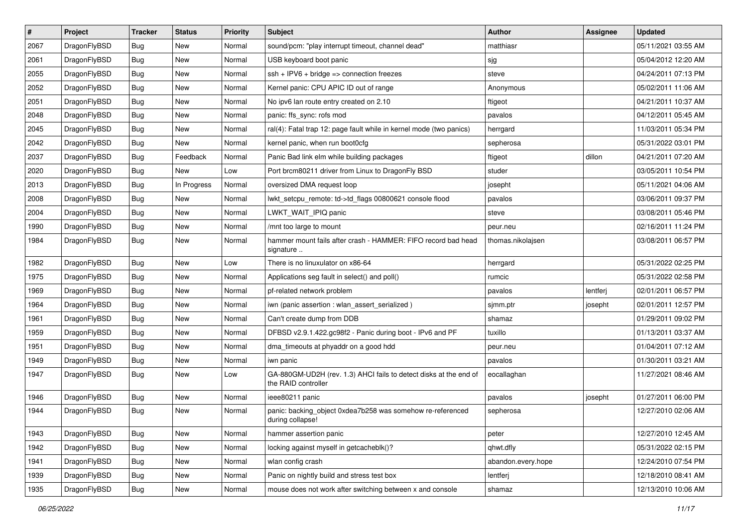| $\vert$ # | Project      | <b>Tracker</b> | <b>Status</b> | <b>Priority</b> | Subject                                                                                  | Author             | Assignee | <b>Updated</b>      |
|-----------|--------------|----------------|---------------|-----------------|------------------------------------------------------------------------------------------|--------------------|----------|---------------------|
| 2067      | DragonFlyBSD | Bug            | <b>New</b>    | Normal          | sound/pcm: "play interrupt timeout, channel dead"                                        | matthiasr          |          | 05/11/2021 03:55 AM |
| 2061      | DragonFlyBSD | Bug            | <b>New</b>    | Normal          | USB keyboard boot panic                                                                  | sjg                |          | 05/04/2012 12:20 AM |
| 2055      | DragonFlyBSD | Bug            | New           | Normal          | $ssh + IPV6 + bridge \Rightarrow connection freezes$                                     | steve              |          | 04/24/2011 07:13 PM |
| 2052      | DragonFlyBSD | Bug            | New           | Normal          | Kernel panic: CPU APIC ID out of range                                                   | Anonymous          |          | 05/02/2011 11:06 AM |
| 2051      | DragonFlyBSD | <b>Bug</b>     | <b>New</b>    | Normal          | No ipv6 lan route entry created on 2.10                                                  | ftigeot            |          | 04/21/2011 10:37 AM |
| 2048      | DragonFlyBSD | Bug            | New           | Normal          | panic: ffs_sync: rofs mod                                                                | pavalos            |          | 04/12/2011 05:45 AM |
| 2045      | DragonFlyBSD | Bug            | New           | Normal          | ral(4): Fatal trap 12: page fault while in kernel mode (two panics)                      | herrgard           |          | 11/03/2011 05:34 PM |
| 2042      | DragonFlyBSD | Bug            | New           | Normal          | kernel panic, when run boot0cfg                                                          | sepherosa          |          | 05/31/2022 03:01 PM |
| 2037      | DragonFlyBSD | Bug            | Feedback      | Normal          | Panic Bad link elm while building packages                                               | ftigeot            | dillon   | 04/21/2011 07:20 AM |
| 2020      | DragonFlyBSD | Bug            | <b>New</b>    | Low             | Port brcm80211 driver from Linux to DragonFly BSD                                        | studer             |          | 03/05/2011 10:54 PM |
| 2013      | DragonFlyBSD | Bug            | In Progress   | Normal          | oversized DMA request loop                                                               | josepht            |          | 05/11/2021 04:06 AM |
| 2008      | DragonFlyBSD | Bug            | <b>New</b>    | Normal          | lwkt_setcpu_remote: td->td_flags 00800621 console flood                                  | pavalos            |          | 03/06/2011 09:37 PM |
| 2004      | DragonFlyBSD | Bug            | New           | Normal          | LWKT_WAIT_IPIQ panic                                                                     | steve              |          | 03/08/2011 05:46 PM |
| 1990      | DragonFlyBSD | Bug            | <b>New</b>    | Normal          | /mnt too large to mount                                                                  | peur.neu           |          | 02/16/2011 11:24 PM |
| 1984      | DragonFlyBSD | Bug            | New           | Normal          | hammer mount fails after crash - HAMMER: FIFO record bad head<br>signature               | thomas.nikolajsen  |          | 03/08/2011 06:57 PM |
| 1982      | DragonFlyBSD | Bug            | <b>New</b>    | Low             | There is no linuxulator on x86-64                                                        | herrgard           |          | 05/31/2022 02:25 PM |
| 1975      | DragonFlyBSD | Bug            | <b>New</b>    | Normal          | Applications seg fault in select() and poll()                                            | rumcic             |          | 05/31/2022 02:58 PM |
| 1969      | DragonFlyBSD | <b>Bug</b>     | <b>New</b>    | Normal          | pf-related network problem                                                               | pavalos            | lentferj | 02/01/2011 06:57 PM |
| 1964      | DragonFlyBSD | Bug            | <b>New</b>    | Normal          | iwn (panic assertion : wlan assert serialized)                                           | sjmm.ptr           | josepht  | 02/01/2011 12:57 PM |
| 1961      | DragonFlyBSD | Bug            | New           | Normal          | Can't create dump from DDB                                                               | shamaz             |          | 01/29/2011 09:02 PM |
| 1959      | DragonFlyBSD | Bug            | <b>New</b>    | Normal          | DFBSD v2.9.1.422.gc98f2 - Panic during boot - IPv6 and PF                                | tuxillo            |          | 01/13/2011 03:37 AM |
| 1951      | DragonFlyBSD | Bug            | <b>New</b>    | Normal          | dma_timeouts at phyaddr on a good hdd                                                    | peur.neu           |          | 01/04/2011 07:12 AM |
| 1949      | DragonFlyBSD | Bug            | New           | Normal          | iwn panic                                                                                | pavalos            |          | 01/30/2011 03:21 AM |
| 1947      | DragonFlyBSD | Bug            | <b>New</b>    | Low             | GA-880GM-UD2H (rev. 1.3) AHCI fails to detect disks at the end of<br>the RAID controller | eocallaghan        |          | 11/27/2021 08:46 AM |
| 1946      | DragonFlyBSD | Bug            | New           | Normal          | ieee80211 panic                                                                          | pavalos            | josepht  | 01/27/2011 06:00 PM |
| 1944      | DragonFlyBSD | Bug            | New           | Normal          | panic: backing object 0xdea7b258 was somehow re-referenced<br>during collapse!           | sepherosa          |          | 12/27/2010 02:06 AM |
| 1943      | DragonFlyBSD | <b>Bug</b>     | New           | Normal          | hammer assertion panic                                                                   | peter              |          | 12/27/2010 12:45 AM |
| 1942      | DragonFlyBSD | Bug            | New           | Normal          | locking against myself in getcacheblk()?                                                 | qhwt.dfly          |          | 05/31/2022 02:15 PM |
| 1941      | DragonFlyBSD | <b>Bug</b>     | New           | Normal          | wlan config crash                                                                        | abandon.every.hope |          | 12/24/2010 07:54 PM |
| 1939      | DragonFlyBSD | Bug            | New           | Normal          | Panic on nightly build and stress test box                                               | lentferj           |          | 12/18/2010 08:41 AM |
| 1935      | DragonFlyBSD | Bug            | New           | Normal          | mouse does not work after switching between x and console                                | shamaz             |          | 12/13/2010 10:06 AM |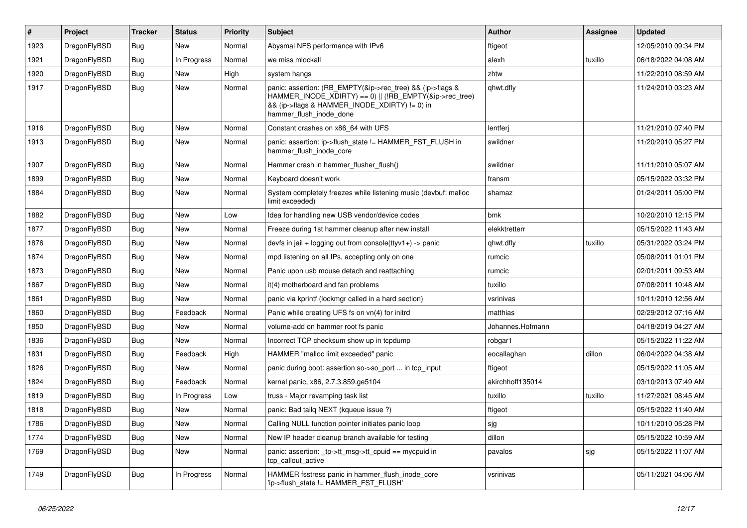| #    | Project      | <b>Tracker</b> | <b>Status</b> | <b>Priority</b> | Subject                                                                                                                                                                                           | <b>Author</b>    | Assignee | <b>Updated</b>      |
|------|--------------|----------------|---------------|-----------------|---------------------------------------------------------------------------------------------------------------------------------------------------------------------------------------------------|------------------|----------|---------------------|
| 1923 | DragonFlyBSD | <b>Bug</b>     | <b>New</b>    | Normal          | Abysmal NFS performance with IPv6                                                                                                                                                                 | ftigeot          |          | 12/05/2010 09:34 PM |
| 1921 | DragonFlyBSD | <b>Bug</b>     | In Progress   | Normal          | we miss mlockall                                                                                                                                                                                  | alexh            | tuxillo  | 06/18/2022 04:08 AM |
| 1920 | DragonFlyBSD | <b>Bug</b>     | New           | High            | system hangs                                                                                                                                                                                      | zhtw             |          | 11/22/2010 08:59 AM |
| 1917 | DragonFlyBSD | Bug            | New           | Normal          | panic: assertion: (RB_EMPTY(&ip->rec_tree) && (ip->flags &<br>HAMMER_INODE_XDIRTY) == 0)    (!RB_EMPTY(&ip->rec_tree)<br>&& (ip->flags & HAMMER_INODE_XDIRTY) != 0) in<br>hammer_flush_inode_done | qhwt.dfly        |          | 11/24/2010 03:23 AM |
| 1916 | DragonFlyBSD | <b>Bug</b>     | New           | Normal          | Constant crashes on x86_64 with UFS                                                                                                                                                               | lentferi         |          | 11/21/2010 07:40 PM |
| 1913 | DragonFlyBSD | Bug            | New           | Normal          | panic: assertion: ip->flush_state != HAMMER_FST_FLUSH in<br>hammer_flush_inode_core                                                                                                               | swildner         |          | 11/20/2010 05:27 PM |
| 1907 | DragonFlyBSD | <b>Bug</b>     | New           | Normal          | Hammer crash in hammer_flusher_flush()                                                                                                                                                            | swildner         |          | 11/11/2010 05:07 AM |
| 1899 | DragonFlyBSD | Bug            | New           | Normal          | Keyboard doesn't work                                                                                                                                                                             | fransm           |          | 05/15/2022 03:32 PM |
| 1884 | DragonFlyBSD | Bug            | <b>New</b>    | Normal          | System completely freezes while listening music (devbuf: malloc<br>limit exceeded)                                                                                                                | shamaz           |          | 01/24/2011 05:00 PM |
| 1882 | DragonFlyBSD | Bug            | New           | Low             | Idea for handling new USB vendor/device codes                                                                                                                                                     | bmk              |          | 10/20/2010 12:15 PM |
| 1877 | DragonFlyBSD | <b>Bug</b>     | <b>New</b>    | Normal          | Freeze during 1st hammer cleanup after new install                                                                                                                                                | elekktretterr    |          | 05/15/2022 11:43 AM |
| 1876 | DragonFlyBSD | <b>Bug</b>     | New           | Normal          | devfs in jail + logging out from console(ttyv1+) -> panic                                                                                                                                         | qhwt.dfly        | tuxillo  | 05/31/2022 03:24 PM |
| 1874 | DragonFlyBSD | <b>Bug</b>     | New           | Normal          | mpd listening on all IPs, accepting only on one                                                                                                                                                   | rumcic           |          | 05/08/2011 01:01 PM |
| 1873 | DragonFlyBSD | <b>Bug</b>     | New           | Normal          | Panic upon usb mouse detach and reattaching                                                                                                                                                       | rumcic           |          | 02/01/2011 09:53 AM |
| 1867 | DragonFlyBSD | Bug            | New           | Normal          | it(4) motherboard and fan problems                                                                                                                                                                | tuxillo          |          | 07/08/2011 10:48 AM |
| 1861 | DragonFlyBSD | <b>Bug</b>     | <b>New</b>    | Normal          | panic via kprintf (lockmgr called in a hard section)                                                                                                                                              | vsrinivas        |          | 10/11/2010 12:56 AM |
| 1860 | DragonFlyBSD | <b>Bug</b>     | Feedback      | Normal          | Panic while creating UFS fs on vn(4) for initrd                                                                                                                                                   | matthias         |          | 02/29/2012 07:16 AM |
| 1850 | DragonFlyBSD | <b>Bug</b>     | <b>New</b>    | Normal          | volume-add on hammer root fs panic                                                                                                                                                                | Johannes.Hofmann |          | 04/18/2019 04:27 AM |
| 1836 | DragonFlyBSD | <b>Bug</b>     | New           | Normal          | Incorrect TCP checksum show up in tcpdump                                                                                                                                                         | robgar1          |          | 05/15/2022 11:22 AM |
| 1831 | DragonFlyBSD | <b>Bug</b>     | Feedback      | High            | HAMMER "malloc limit exceeded" panic                                                                                                                                                              | eocallaghan      | dillon   | 06/04/2022 04:38 AM |
| 1826 | DragonFlyBSD | <b>Bug</b>     | <b>New</b>    | Normal          | panic during boot: assertion so->so_port  in tcp_input                                                                                                                                            | ftigeot          |          | 05/15/2022 11:05 AM |
| 1824 | DragonFlyBSD | <b>Bug</b>     | Feedback      | Normal          | kernel panic, x86, 2.7.3.859.ge5104                                                                                                                                                               | akirchhoff135014 |          | 03/10/2013 07:49 AM |
| 1819 | DragonFlyBSD | <b>Bug</b>     | In Progress   | Low             | truss - Major revamping task list                                                                                                                                                                 | tuxillo          | tuxillo  | 11/27/2021 08:45 AM |
| 1818 | DragonFlyBSD | Bug            | New           | Normal          | panic: Bad tailq NEXT (kqueue issue ?)                                                                                                                                                            | ftigeot          |          | 05/15/2022 11:40 AM |
| 1786 | DragonFlyBSD | <b>Bug</b>     | New           | Normal          | Calling NULL function pointer initiates panic loop                                                                                                                                                | sjg              |          | 10/11/2010 05:28 PM |
| 1774 | DragonFlyBSD | Bug            | New           | Normal          | New IP header cleanup branch available for testing                                                                                                                                                | dillon           |          | 05/15/2022 10:59 AM |
| 1769 | DragonFlyBSD | <b>Bug</b>     | New           | Normal          | panic: assertion: _tp->tt_msg->tt_cpuid == mycpuid in<br>tcp callout active                                                                                                                       | pavalos          | sjg      | 05/15/2022 11:07 AM |
| 1749 | DragonFlyBSD | <b>Bug</b>     | In Progress   | Normal          | HAMMER fsstress panic in hammer_flush_inode_core<br>'ip->flush_state != HAMMER_FST_FLUSH'                                                                                                         | vsrinivas        |          | 05/11/2021 04:06 AM |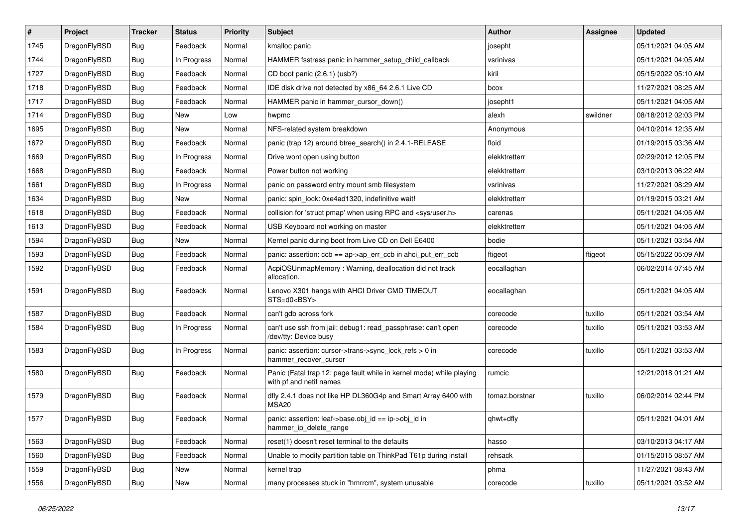| $\vert$ # | Project      | <b>Tracker</b> | <b>Status</b> | <b>Priority</b> | <b>Subject</b>                                                                                  | <b>Author</b>  | <b>Assignee</b> | <b>Updated</b>      |
|-----------|--------------|----------------|---------------|-----------------|-------------------------------------------------------------------------------------------------|----------------|-----------------|---------------------|
| 1745      | DragonFlyBSD | <b>Bug</b>     | Feedback      | Normal          | kmalloc panic                                                                                   | josepht        |                 | 05/11/2021 04:05 AM |
| 1744      | DragonFlyBSD | <b>Bug</b>     | In Progress   | Normal          | HAMMER fsstress panic in hammer_setup_child_callback                                            | vsrinivas      |                 | 05/11/2021 04:05 AM |
| 1727      | DragonFlyBSD | <b>Bug</b>     | Feedback      | Normal          | CD boot panic (2.6.1) (usb?)                                                                    | kiril          |                 | 05/15/2022 05:10 AM |
| 1718      | DragonFlyBSD | Bug            | Feedback      | Normal          | IDE disk drive not detected by x86_64 2.6.1 Live CD                                             | bcox           |                 | 11/27/2021 08:25 AM |
| 1717      | DragonFlyBSD | <b>Bug</b>     | Feedback      | Normal          | HAMMER panic in hammer_cursor_down()                                                            | josepht1       |                 | 05/11/2021 04:05 AM |
| 1714      | DragonFlyBSD | <b>Bug</b>     | <b>New</b>    | Low             | hwpmc                                                                                           | alexh          | swildner        | 08/18/2012 02:03 PM |
| 1695      | DragonFlyBSD | <b>Bug</b>     | <b>New</b>    | Normal          | NFS-related system breakdown                                                                    | Anonymous      |                 | 04/10/2014 12:35 AM |
| 1672      | DragonFlyBSD | <b>Bug</b>     | Feedback      | Normal          | panic (trap 12) around btree_search() in 2.4.1-RELEASE                                          | floid          |                 | 01/19/2015 03:36 AM |
| 1669      | DragonFlyBSD | Bug            | In Progress   | Normal          | Drive wont open using button                                                                    | elekktretterr  |                 | 02/29/2012 12:05 PM |
| 1668      | DragonFlyBSD | <b>Bug</b>     | Feedback      | Normal          | Power button not working                                                                        | elekktretterr  |                 | 03/10/2013 06:22 AM |
| 1661      | DragonFlyBSD | <b>Bug</b>     | In Progress   | Normal          | panic on password entry mount smb filesystem                                                    | vsrinivas      |                 | 11/27/2021 08:29 AM |
| 1634      | DragonFlyBSD | Bug            | New           | Normal          | panic: spin_lock: 0xe4ad1320, indefinitive wait!                                                | elekktretterr  |                 | 01/19/2015 03:21 AM |
| 1618      | DragonFlyBSD | <b>Bug</b>     | Feedback      | Normal          | collision for 'struct pmap' when using RPC and <sys user.h=""></sys>                            | carenas        |                 | 05/11/2021 04:05 AM |
| 1613      | DragonFlyBSD | <b>Bug</b>     | Feedback      | Normal          | USB Keyboard not working on master                                                              | elekktretterr  |                 | 05/11/2021 04:05 AM |
| 1594      | DragonFlyBSD | <b>Bug</b>     | New           | Normal          | Kernel panic during boot from Live CD on Dell E6400                                             | bodie          |                 | 05/11/2021 03:54 AM |
| 1593      | DragonFlyBSD | <b>Bug</b>     | Feedback      | Normal          | panic: assertion: $ccb == ap > ap$ err $ccb$ in ahci put err $ccb$                              | ftigeot        | ftigeot         | 05/15/2022 05:09 AM |
| 1592      | DragonFlyBSD | Bug            | Feedback      | Normal          | AcpiOSUnmapMemory: Warning, deallocation did not track<br>allocation.                           | eocallaghan    |                 | 06/02/2014 07:45 AM |
| 1591      | DragonFlyBSD | Bug            | Feedback      | Normal          | Lenovo X301 hangs with AHCI Driver CMD TIMEOUT<br>STS=d0 <bsy></bsy>                            | eocallaghan    |                 | 05/11/2021 04:05 AM |
| 1587      | DragonFlyBSD | <b>Bug</b>     | Feedback      | Normal          | can't gdb across fork                                                                           | corecode       | tuxillo         | 05/11/2021 03:54 AM |
| 1584      | DragonFlyBSD | Bug            | In Progress   | Normal          | can't use ssh from jail: debug1: read_passphrase: can't open<br>/dev/tty: Device busy           | corecode       | tuxillo         | 05/11/2021 03:53 AM |
| 1583      | DragonFlyBSD | <b>Bug</b>     | In Progress   | Normal          | panic: assertion: cursor->trans->sync_lock_refs > 0 in<br>hammer_recover_cursor                 | corecode       | tuxillo         | 05/11/2021 03:53 AM |
| 1580      | DragonFlyBSD | <b>Bug</b>     | Feedback      | Normal          | Panic (Fatal trap 12: page fault while in kernel mode) while playing<br>with pf and netif names | rumcic         |                 | 12/21/2018 01:21 AM |
| 1579      | DragonFlyBSD | <b>Bug</b>     | Feedback      | Normal          | dfly 2.4.1 does not like HP DL360G4p and Smart Array 6400 with<br><b>MSA20</b>                  | tomaz.borstnar | tuxillo         | 06/02/2014 02:44 PM |
| 1577      | DragonFlyBSD | <b>Bug</b>     | Feedback      | Normal          | panic: assertion: $leaf$ ->base.obi $id == ib$ ->obi $id$ in<br>hammer_ip_delete_range          | qhwt+dfly      |                 | 05/11/2021 04:01 AM |
| 1563      | DragonFlyBSD | <b>Bug</b>     | Feedback      | Normal          | reset(1) doesn't reset terminal to the defaults                                                 | hasso          |                 | 03/10/2013 04:17 AM |
| 1560      | DragonFlyBSD | <b>Bug</b>     | Feedback      | Normal          | Unable to modify partition table on ThinkPad T61p during install                                | rehsack        |                 | 01/15/2015 08:57 AM |
| 1559      | DragonFlyBSD | Bug            | New           | Normal          | kernel trap                                                                                     | phma           |                 | 11/27/2021 08:43 AM |
| 1556      | DragonFlyBSD | <b>Bug</b>     | New           | Normal          | many processes stuck in "hmrrcm", system unusable                                               | corecode       | tuxillo         | 05/11/2021 03:52 AM |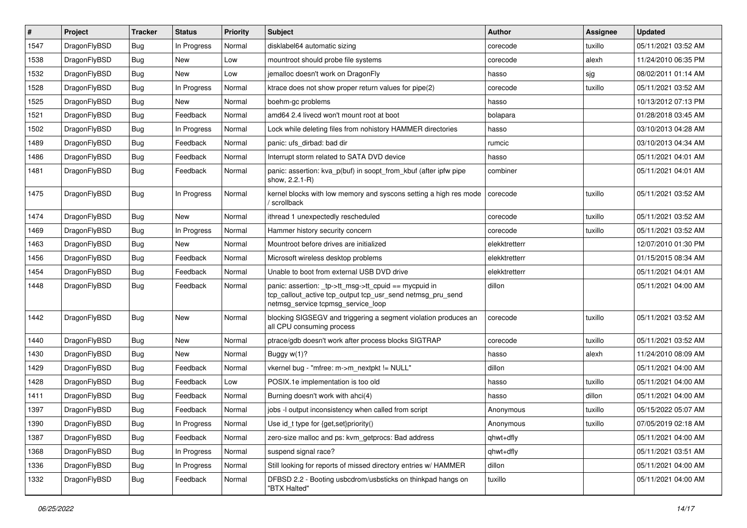| #    | Project      | <b>Tracker</b> | <b>Status</b> | <b>Priority</b> | Subject                                                                                                                                                   | Author        | <b>Assignee</b> | <b>Updated</b>      |
|------|--------------|----------------|---------------|-----------------|-----------------------------------------------------------------------------------------------------------------------------------------------------------|---------------|-----------------|---------------------|
| 1547 | DragonFlyBSD | Bug            | In Progress   | Normal          | disklabel64 automatic sizing                                                                                                                              | corecode      | tuxillo         | 05/11/2021 03:52 AM |
| 1538 | DragonFlyBSD | Bug            | New           | Low             | mountroot should probe file systems                                                                                                                       | corecode      | alexh           | 11/24/2010 06:35 PM |
| 1532 | DragonFlyBSD | Bug            | New           | Low             | jemalloc doesn't work on DragonFly                                                                                                                        | hasso         | sjg             | 08/02/2011 01:14 AM |
| 1528 | DragonFlyBSD | Bug            | In Progress   | Normal          | ktrace does not show proper return values for pipe(2)                                                                                                     | corecode      | tuxillo         | 05/11/2021 03:52 AM |
| 1525 | DragonFlyBSD | Bug            | New           | Normal          | boehm-gc problems                                                                                                                                         | hasso         |                 | 10/13/2012 07:13 PM |
| 1521 | DragonFlyBSD | Bug            | Feedback      | Normal          | amd64 2.4 livecd won't mount root at boot                                                                                                                 | bolapara      |                 | 01/28/2018 03:45 AM |
| 1502 | DragonFlyBSD | Bug            | In Progress   | Normal          | Lock while deleting files from nohistory HAMMER directories                                                                                               | hasso         |                 | 03/10/2013 04:28 AM |
| 1489 | DragonFlyBSD | Bug            | Feedback      | Normal          | panic: ufs dirbad: bad dir                                                                                                                                | rumcic        |                 | 03/10/2013 04:34 AM |
| 1486 | DragonFlyBSD | Bug            | Feedback      | Normal          | Interrupt storm related to SATA DVD device                                                                                                                | hasso         |                 | 05/11/2021 04:01 AM |
| 1481 | DragonFlyBSD | Bug            | Feedback      | Normal          | panic: assertion: kva_p(buf) in soopt_from_kbuf (after ipfw pipe<br>show, 2.2.1-R)                                                                        | combiner      |                 | 05/11/2021 04:01 AM |
| 1475 | DragonFlyBSD | Bug            | In Progress   | Normal          | kernel blocks with low memory and syscons setting a high res mode<br>/ scrollback                                                                         | corecode      | tuxillo         | 05/11/2021 03:52 AM |
| 1474 | DragonFlyBSD | Bug            | <b>New</b>    | Normal          | ithread 1 unexpectedly rescheduled                                                                                                                        | corecode      | tuxillo         | 05/11/2021 03:52 AM |
| 1469 | DragonFlyBSD | Bug            | In Progress   | Normal          | Hammer history security concern                                                                                                                           | corecode      | tuxillo         | 05/11/2021 03:52 AM |
| 1463 | DragonFlyBSD | Bug            | New           | Normal          | Mountroot before drives are initialized                                                                                                                   | elekktretterr |                 | 12/07/2010 01:30 PM |
| 1456 | DragonFlyBSD | Bug            | Feedback      | Normal          | Microsoft wireless desktop problems                                                                                                                       | elekktretterr |                 | 01/15/2015 08:34 AM |
| 1454 | DragonFlyBSD | Bug            | Feedback      | Normal          | Unable to boot from external USB DVD drive                                                                                                                | elekktretterr |                 | 05/11/2021 04:01 AM |
| 1448 | DragonFlyBSD | Bug            | Feedback      | Normal          | panic: assertion: _tp->tt_msg->tt_cpuid == mycpuid in<br>tcp_callout_active tcp_output tcp_usr_send netmsg_pru_send<br>netmsg_service tcpmsg_service_loop | dillon        |                 | 05/11/2021 04:00 AM |
| 1442 | DragonFlyBSD | Bug            | New           | Normal          | blocking SIGSEGV and triggering a segment violation produces an<br>all CPU consuming process                                                              | corecode      | tuxillo         | 05/11/2021 03:52 AM |
| 1440 | DragonFlyBSD | Bug            | New           | Normal          | ptrace/gdb doesn't work after process blocks SIGTRAP                                                                                                      | corecode      | tuxillo         | 05/11/2021 03:52 AM |
| 1430 | DragonFlyBSD | Bug            | New           | Normal          | Buggy w(1)?                                                                                                                                               | hasso         | alexh           | 11/24/2010 08:09 AM |
| 1429 | DragonFlyBSD | Bug            | Feedback      | Normal          | vkernel bug - "mfree: m->m nextpkt != NULL"                                                                                                               | dillon        |                 | 05/11/2021 04:00 AM |
| 1428 | DragonFlyBSD | <b>Bug</b>     | Feedback      | Low             | POSIX.1e implementation is too old                                                                                                                        | hasso         | tuxillo         | 05/11/2021 04:00 AM |
| 1411 | DragonFlyBSD | <b>Bug</b>     | Feedback      | Normal          | Burning doesn't work with ahci(4)                                                                                                                         | hasso         | dillon          | 05/11/2021 04:00 AM |
| 1397 | DragonFlyBSD | <b>Bug</b>     | Feedback      | Normal          | jobs -I output inconsistency when called from script                                                                                                      | Anonymous     | tuxillo         | 05/15/2022 05:07 AM |
| 1390 | DragonFlyBSD | <b>Bug</b>     | In Progress   | Normal          | Use $\mathsf{id}\_$ t type for {get,set}priority()                                                                                                        | Anonymous     | tuxillo         | 07/05/2019 02:18 AM |
| 1387 | DragonFlyBSD | <b>Bug</b>     | Feedback      | Normal          | zero-size malloc and ps: kvm_getprocs: Bad address                                                                                                        | qhwt+dfly     |                 | 05/11/2021 04:00 AM |
| 1368 | DragonFlyBSD | <b>Bug</b>     | In Progress   | Normal          | suspend signal race?                                                                                                                                      | qhwt+dfly     |                 | 05/11/2021 03:51 AM |
| 1336 | DragonFlyBSD | <b>Bug</b>     | In Progress   | Normal          | Still looking for reports of missed directory entries w/ HAMMER                                                                                           | dillon        |                 | 05/11/2021 04:00 AM |
| 1332 | DragonFlyBSD | <b>Bug</b>     | Feedback      | Normal          | DFBSD 2.2 - Booting usbcdrom/usbsticks on thinkpad hangs on<br>"BTX Halted"                                                                               | tuxillo       |                 | 05/11/2021 04:00 AM |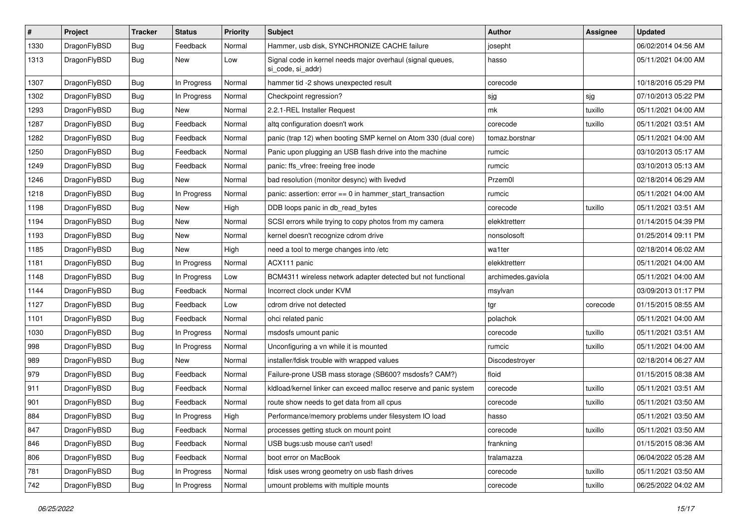| $\sharp$ | Project      | <b>Tracker</b> | <b>Status</b> | <b>Priority</b> | Subject                                                                         | Author             | Assignee | <b>Updated</b>      |
|----------|--------------|----------------|---------------|-----------------|---------------------------------------------------------------------------------|--------------------|----------|---------------------|
| 1330     | DragonFlyBSD | <b>Bug</b>     | Feedback      | Normal          | Hammer, usb disk, SYNCHRONIZE CACHE failure                                     | josepht            |          | 06/02/2014 04:56 AM |
| 1313     | DragonFlyBSD | <b>Bug</b>     | New           | Low             | Signal code in kernel needs major overhaul (signal queues,<br>si code, si addr) | hasso              |          | 05/11/2021 04:00 AM |
| 1307     | DragonFlyBSD | <b>Bug</b>     | In Progress   | Normal          | hammer tid -2 shows unexpected result                                           | corecode           |          | 10/18/2016 05:29 PM |
| 1302     | DragonFlyBSD | Bug            | In Progress   | Normal          | Checkpoint regression?                                                          | sjg                | sjg      | 07/10/2013 05:22 PM |
| 1293     | DragonFlyBSD | <b>Bug</b>     | <b>New</b>    | Normal          | 2.2.1-REL Installer Request                                                     | mk                 | tuxillo  | 05/11/2021 04:00 AM |
| 1287     | DragonFlyBSD | <b>Bug</b>     | Feedback      | Normal          | altq configuration doesn't work                                                 | corecode           | tuxillo  | 05/11/2021 03:51 AM |
| 1282     | DragonFlyBSD | <b>Bug</b>     | Feedback      | Normal          | panic (trap 12) when booting SMP kernel on Atom 330 (dual core)                 | tomaz.borstnar     |          | 05/11/2021 04:00 AM |
| 1250     | DragonFlyBSD | <b>Bug</b>     | Feedback      | Normal          | Panic upon plugging an USB flash drive into the machine                         | rumcic             |          | 03/10/2013 05:17 AM |
| 1249     | DragonFlyBSD | Bug            | Feedback      | Normal          | panic: ffs_vfree: freeing free inode                                            | rumcic             |          | 03/10/2013 05:13 AM |
| 1246     | DragonFlyBSD | <b>Bug</b>     | New           | Normal          | bad resolution (monitor desync) with livedvd                                    | Przem0l            |          | 02/18/2014 06:29 AM |
| 1218     | DragonFlyBSD | Bug            | In Progress   | Normal          | panic: assertion: error == 0 in hammer_start_transaction                        | rumcic             |          | 05/11/2021 04:00 AM |
| 1198     | DragonFlyBSD | <b>Bug</b>     | <b>New</b>    | High            | DDB loops panic in db_read_bytes                                                | corecode           | tuxillo  | 05/11/2021 03:51 AM |
| 1194     | DragonFlyBSD | <b>Bug</b>     | New           | Normal          | SCSI errors while trying to copy photos from my camera                          | elekktretterr      |          | 01/14/2015 04:39 PM |
| 1193     | DragonFlyBSD | Bug            | New           | Normal          | kernel doesn't recognize cdrom drive                                            | nonsolosoft        |          | 01/25/2014 09:11 PM |
| 1185     | DragonFlyBSD | <b>Bug</b>     | <b>New</b>    | High            | need a tool to merge changes into /etc                                          | wa1ter             |          | 02/18/2014 06:02 AM |
| 1181     | DragonFlyBSD | <b>Bug</b>     | In Progress   | Normal          | ACX111 panic                                                                    | elekktretterr      |          | 05/11/2021 04:00 AM |
| 1148     | DragonFlyBSD | <b>Bug</b>     | In Progress   | Low             | BCM4311 wireless network adapter detected but not functional                    | archimedes.gaviola |          | 05/11/2021 04:00 AM |
| 1144     | DragonFlyBSD | Bug            | Feedback      | Normal          | Incorrect clock under KVM                                                       | msylvan            |          | 03/09/2013 01:17 PM |
| 1127     | DragonFlyBSD | <b>Bug</b>     | Feedback      | Low             | cdrom drive not detected                                                        | tgr                | corecode | 01/15/2015 08:55 AM |
| 1101     | DragonFlyBSD | <b>Bug</b>     | Feedback      | Normal          | ohci related panic                                                              | polachok           |          | 05/11/2021 04:00 AM |
| 1030     | DragonFlyBSD | <b>Bug</b>     | In Progress   | Normal          | msdosfs umount panic                                                            | corecode           | tuxillo  | 05/11/2021 03:51 AM |
| 998      | DragonFlyBSD | Bug            | In Progress   | Normal          | Unconfiguring a vn while it is mounted                                          | rumcic             | tuxillo  | 05/11/2021 04:00 AM |
| 989      | DragonFlyBSD | <b>Bug</b>     | New           | Normal          | installer/fdisk trouble with wrapped values                                     | Discodestroyer     |          | 02/18/2014 06:27 AM |
| 979      | DragonFlyBSD | Bug            | Feedback      | Normal          | Failure-prone USB mass storage (SB600? msdosfs? CAM?)                           | floid              |          | 01/15/2015 08:38 AM |
| 911      | DragonFlyBSD | <b>Bug</b>     | Feedback      | Normal          | kldload/kernel linker can exceed malloc reserve and panic system                | corecode           | tuxillo  | 05/11/2021 03:51 AM |
| 901      | DragonFlyBSD | <b>Bug</b>     | Feedback      | Normal          | route show needs to get data from all cpus                                      | corecode           | tuxillo  | 05/11/2021 03:50 AM |
| 884      | DragonFlyBSD | <b>Bug</b>     | In Progress   | High            | Performance/memory problems under filesystem IO load                            | hasso              |          | 05/11/2021 03:50 AM |
| 847      | DragonFlyBSD | <b>Bug</b>     | Feedback      | Normal          | processes getting stuck on mount point                                          | corecode           | tuxillo  | 05/11/2021 03:50 AM |
| 846      | DragonFlyBSD | Bug            | Feedback      | Normal          | USB bugs:usb mouse can't used!                                                  | frankning          |          | 01/15/2015 08:36 AM |
| 806      | DragonFlyBSD | <b>Bug</b>     | Feedback      | Normal          | boot error on MacBook                                                           | tralamazza         |          | 06/04/2022 05:28 AM |
| 781      | DragonFlyBSD | <b>Bug</b>     | In Progress   | Normal          | fdisk uses wrong geometry on usb flash drives                                   | corecode           | tuxillo  | 05/11/2021 03:50 AM |
| 742      | DragonFlyBSD | Bug            | In Progress   | Normal          | umount problems with multiple mounts                                            | corecode           | tuxillo  | 06/25/2022 04:02 AM |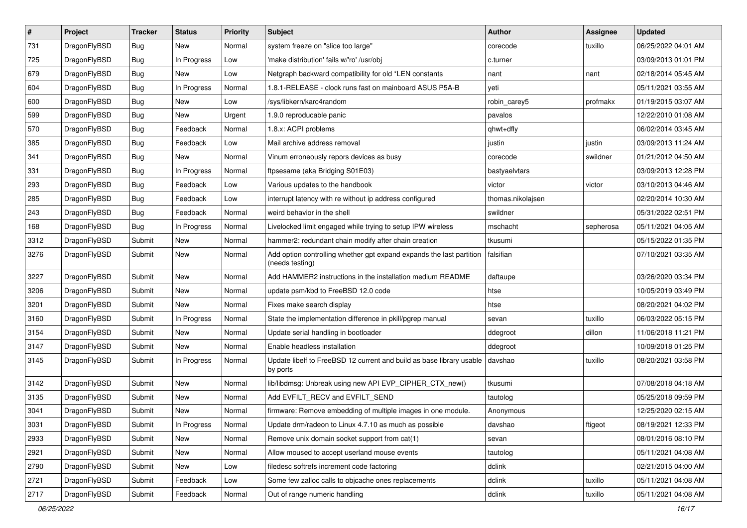| $\pmb{\#}$ | Project      | <b>Tracker</b> | <b>Status</b> | Priority | Subject                                                                                 | <b>Author</b>     | <b>Assignee</b> | <b>Updated</b>      |
|------------|--------------|----------------|---------------|----------|-----------------------------------------------------------------------------------------|-------------------|-----------------|---------------------|
| 731        | DragonFlyBSD | Bug            | <b>New</b>    | Normal   | system freeze on "slice too large"                                                      | corecode          | tuxillo         | 06/25/2022 04:01 AM |
| 725        | DragonFlyBSD | Bug            | In Progress   | Low      | 'make distribution' fails w/'ro' /usr/obj                                               | c.turner          |                 | 03/09/2013 01:01 PM |
| 679        | DragonFlyBSD | Bug            | <b>New</b>    | Low      | Netgraph backward compatibility for old *LEN constants                                  | nant              | nant            | 02/18/2014 05:45 AM |
| 604        | DragonFlyBSD | <b>Bug</b>     | In Progress   | Normal   | 1.8.1-RELEASE - clock runs fast on mainboard ASUS P5A-B                                 | yeti              |                 | 05/11/2021 03:55 AM |
| 600        | DragonFlyBSD | Bug            | New           | Low      | /sys/libkern/karc4random                                                                | robin carey5      | profmakx        | 01/19/2015 03:07 AM |
| 599        | DragonFlyBSD | Bug            | New           | Urgent   | 1.9.0 reproducable panic                                                                | pavalos           |                 | 12/22/2010 01:08 AM |
| 570        | DragonFlyBSD | Bug            | Feedback      | Normal   | 1.8.x: ACPI problems                                                                    | qhwt+dfly         |                 | 06/02/2014 03:45 AM |
| 385        | DragonFlyBSD | Bug            | Feedback      | Low      | Mail archive address removal                                                            | justin            | justin          | 03/09/2013 11:24 AM |
| 341        | DragonFlyBSD | <b>Bug</b>     | New           | Normal   | Vinum erroneously repors devices as busy                                                | corecode          | swildner        | 01/21/2012 04:50 AM |
| 331        | DragonFlyBSD | Bug            | In Progress   | Normal   | ftpsesame (aka Bridging S01E03)                                                         | bastyaelvtars     |                 | 03/09/2013 12:28 PM |
| 293        | DragonFlyBSD | Bug            | Feedback      | Low      | Various updates to the handbook                                                         | victor            | victor          | 03/10/2013 04:46 AM |
| 285        | DragonFlyBSD | Bug            | Feedback      | Low      | interrupt latency with re without ip address configured                                 | thomas.nikolajsen |                 | 02/20/2014 10:30 AM |
| 243        | DragonFlyBSD | Bug            | Feedback      | Normal   | weird behavior in the shell                                                             | swildner          |                 | 05/31/2022 02:51 PM |
| 168        | DragonFlyBSD | Bug            | In Progress   | Normal   | Livelocked limit engaged while trying to setup IPW wireless                             | mschacht          | sepherosa       | 05/11/2021 04:05 AM |
| 3312       | DragonFlyBSD | Submit         | <b>New</b>    | Normal   | hammer2: redundant chain modify after chain creation                                    | tkusumi           |                 | 05/15/2022 01:35 PM |
| 3276       | DragonFlyBSD | Submit         | <b>New</b>    | Normal   | Add option controlling whether gpt expand expands the last partition<br>(needs testing) | falsifian         |                 | 07/10/2021 03:35 AM |
| 3227       | DragonFlyBSD | Submit         | New           | Normal   | Add HAMMER2 instructions in the installation medium README                              | daftaupe          |                 | 03/26/2020 03:34 PM |
| 3206       | DragonFlyBSD | Submit         | <b>New</b>    | Normal   | update psm/kbd to FreeBSD 12.0 code                                                     | htse              |                 | 10/05/2019 03:49 PM |
| 3201       | DragonFlyBSD | Submit         | <b>New</b>    | Normal   | Fixes make search display                                                               | htse              |                 | 08/20/2021 04:02 PM |
| 3160       | DragonFlyBSD | Submit         | In Progress   | Normal   | State the implementation difference in pkill/pgrep manual                               | sevan             | tuxillo         | 06/03/2022 05:15 PM |
| 3154       | DragonFlyBSD | Submit         | <b>New</b>    | Normal   | Update serial handling in bootloader                                                    | ddegroot          | dillon          | 11/06/2018 11:21 PM |
| 3147       | DragonFlyBSD | Submit         | <b>New</b>    | Normal   | Enable headless installation                                                            | ddegroot          |                 | 10/09/2018 01:25 PM |
| 3145       | DragonFlyBSD | Submit         | In Progress   | Normal   | Update libelf to FreeBSD 12 current and build as base library usable<br>by ports        | davshao           | tuxillo         | 08/20/2021 03:58 PM |
| 3142       | DragonFlyBSD | Submit         | New           | Normal   | lib/libdmsg: Unbreak using new API EVP_CIPHER_CTX_new()                                 | tkusumi           |                 | 07/08/2018 04:18 AM |
| 3135       | DragonFlyBSD | Submit         | New           | Normal   | Add EVFILT_RECV and EVFILT_SEND                                                         | tautolog          |                 | 05/25/2018 09:59 PM |
| 3041       | DragonFlyBSD | Submit         | <b>New</b>    | Normal   | firmware: Remove embedding of multiple images in one module.                            | Anonymous         |                 | 12/25/2020 02:15 AM |
| 3031       | DragonFlyBSD | Submit         | In Progress   | Normal   | Update drm/radeon to Linux 4.7.10 as much as possible                                   | davshao           | ftigeot         | 08/19/2021 12:33 PM |
| 2933       | DragonFlyBSD | Submit         | New           | Normal   | Remove unix domain socket support from cat(1)                                           | sevan             |                 | 08/01/2016 08:10 PM |
| 2921       | DragonFlyBSD | Submit         | New           | Normal   | Allow moused to accept userland mouse events                                            | tautolog          |                 | 05/11/2021 04:08 AM |
| 2790       | DragonFlyBSD | Submit         | New           | Low      | filedesc softrefs increment code factoring                                              | dclink            |                 | 02/21/2015 04:00 AM |
| 2721       | DragonFlyBSD | Submit         | Feedback      | Low      | Some few zalloc calls to objcache ones replacements                                     | dclink            | tuxillo         | 05/11/2021 04:08 AM |
| 2717       | DragonFlyBSD | Submit         | Feedback      | Normal   | Out of range numeric handling                                                           | dclink            | tuxillo         | 05/11/2021 04:08 AM |